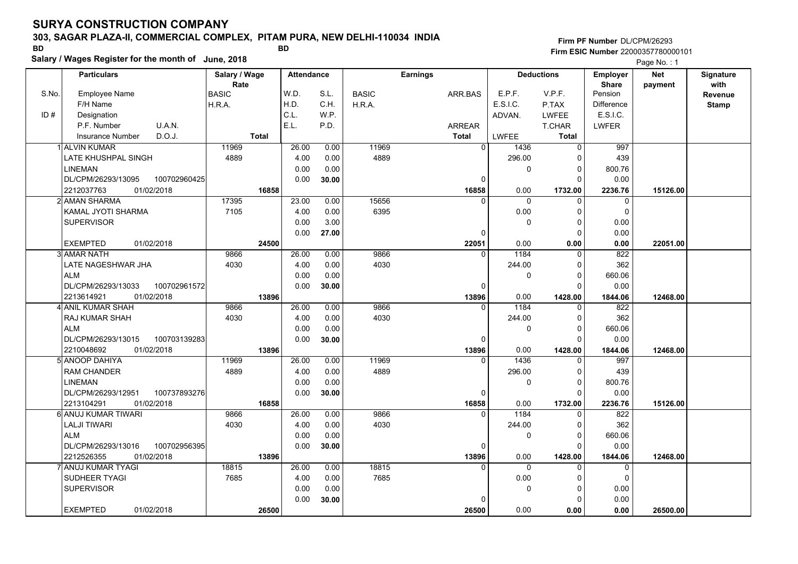### **303, SAGAR PLAZA-II, COMMERCIAL COMPLEX, PITAM PURA, NEW DELHI-110034 INDIA**

**Salary / Wages Register for the month of June, 2018 BD BD**

**Firm PF Number**DL/CPM/26293**Firm ESIC Number** 22000357780000101

|       | <b>Particulars</b>                 | Salary / Wage        | <b>Attendance</b> |       |              | <b>Earnings</b> |                | <b>Deductions</b> | Employer                | <b>Net</b> | Signature              |
|-------|------------------------------------|----------------------|-------------------|-------|--------------|-----------------|----------------|-------------------|-------------------------|------------|------------------------|
| S.No. | <b>Employee Name</b>               | Rate<br><b>BASIC</b> | W.D.              | S.L.  | <b>BASIC</b> | ARR.BAS         | E.P.F.         | V.P.F.            | <b>Share</b><br>Pension | payment    | with<br><b>Revenue</b> |
|       | F/H Name                           | H.R.A.               | H.D.              | C.H.  | H.R.A.       |                 | E.S.I.C.       | P.TAX             | <b>Difference</b>       |            | <b>Stamp</b>           |
| ID#   | Designation                        |                      | C.L.              | W.P.  |              |                 | ADVAN.         | <b>LWFEE</b>      | E.S.I.C.                |            |                        |
|       | U.A.N.<br>P.F. Number              |                      | E.L.              | P.D.  |              | <b>ARREAR</b>   |                | T.CHAR            | <b>LWFER</b>            |            |                        |
|       | D.O.J.<br><b>Insurance Number</b>  | <b>Total</b>         |                   |       |              | <b>Total</b>    | LWFEE          | <b>Total</b>      |                         |            |                        |
|       | 1 ALVIN KUMAR                      | 11969                | 26.00             | 0.00  | 11969        | $\Omega$        | 1436           | $\mathbf 0$       | 997                     |            |                        |
|       | LATE KHUSHPAL SINGH                | 4889                 | 4.00              | 0.00  | 4889         |                 | 296.00         | $\Omega$          | 439                     |            |                        |
|       | <b>LINEMAN</b>                     |                      | 0.00              | 0.00  |              |                 | 0              | 0                 | 800.76                  |            |                        |
|       | DL/CPM/26293/13095<br>100702960425 |                      | 0.00              | 30.00 |              | $\Omega$        |                | $\Omega$          | 0.00                    |            |                        |
|       | 2212037763<br>01/02/2018           | 16858                |                   |       |              | 16858           | 0.00           | 1732.00           | 2236.76                 | 15126.00   |                        |
|       | 2 AMAN SHARMA                      | 17395                | 23.00             | 0.00  | 15656        | $\Omega$        | 0              | $\Omega$          | $\mathbf 0$             |            |                        |
|       | KAMAL JYOTI SHARMA                 | 7105                 | 4.00              | 0.00  | 6395         |                 | 0.00           | $\Omega$          | $\mathbf 0$             |            |                        |
|       | <b>SUPERVISOR</b>                  |                      | 0.00              | 3.00  |              |                 | $\mathbf{0}$   | $\Omega$          | 0.00                    |            |                        |
|       |                                    |                      | 0.00              | 27.00 |              | 0               |                | $\Omega$          | 0.00                    |            |                        |
|       | 01/02/2018<br><b>EXEMPTED</b>      | 24500                |                   |       |              | 22051           | 0.00           | 0.00              | 0.00                    | 22051.00   |                        |
|       | 3 AMAR NATH                        | 9866                 | 26.00             | 0.00  | 9866         | $\mathbf{0}$    | 1184           | 0                 | 822                     |            |                        |
|       | <b>LATE NAGESHWAR JHA</b>          | 4030                 | 4.00              | 0.00  | 4030         |                 | 244.00         | $\Omega$          | 362                     |            |                        |
|       | <b>ALM</b>                         |                      | 0.00              | 0.00  |              |                 | $\mathbf{0}$   | $\Omega$          | 660.06                  |            |                        |
|       | DL/CPM/26293/13033<br>100702961572 |                      | 0.00              | 30.00 |              | 0               |                | $\Omega$          | 0.00                    |            |                        |
|       | 2213614921<br>01/02/2018           | 13896                |                   |       |              | 13896           | 0.00           | 1428.00           | 1844.06                 | 12468.00   |                        |
|       | 4 ANIL KUMAR SHAH                  | 9866                 | 26.00             | 0.00  | 9866         | $\Omega$        | 1184           | $\Omega$          | 822                     |            |                        |
|       | <b>RAJ KUMAR SHAH</b>              | 4030                 | 4.00              | 0.00  | 4030         |                 | 244.00         | $\Omega$          | 362                     |            |                        |
|       | <b>ALM</b>                         |                      | 0.00              | 0.00  |              |                 | $\mathbf{0}$   | $\Omega$          | 660.06                  |            |                        |
|       | 100703139283<br>DL/CPM/26293/13015 |                      | 0.00              | 30.00 |              | $\Omega$        |                | $\Omega$          | 0.00                    |            |                        |
|       | 2210048692<br>01/02/2018           | 13896                |                   |       |              | 13896           | 0.00           | 1428.00           | 1844.06                 | 12468.00   |                        |
|       | 5 ANOOP DAHIYA                     | 11969                | 26.00             | 0.00  | 11969        | $\Omega$        | 1436           | $\Omega$          | 997                     |            |                        |
|       | <b>RAM CHANDER</b>                 | 4889                 | 4.00              | 0.00  | 4889         |                 | 296.00         | $\Omega$          | 439                     |            |                        |
|       | <b>LINEMAN</b>                     |                      | 0.00              | 0.00  |              |                 | $\pmb{0}$      | $\mathbf 0$       | 800.76                  |            |                        |
|       | DL/CPM/26293/12951<br>100737893276 |                      | 0.00              | 30.00 |              | $\Omega$        |                | $\Omega$          | 0.00                    |            |                        |
|       | 01/02/2018<br>2213104291           | 16858                |                   |       |              | 16858           | 0.00           | 1732.00           | 2236.76                 | 15126.00   |                        |
|       | 6 ANUJ KUMAR TIWARI                | 9866                 | 26.00             | 0.00  | 9866         | $\Omega$        | 1184           | $\Omega$          | 822                     |            |                        |
|       | <b>LALJI TIWARI</b>                | 4030                 | 4.00              | 0.00  | 4030         |                 | 244.00         | 0                 | 362                     |            |                        |
|       | <b>ALM</b>                         |                      | 0.00              | 0.00  |              |                 | $\Omega$       | $\Omega$          | 660.06                  |            |                        |
|       | DL/CPM/26293/13016<br>100702956395 |                      | 0.00              | 30.00 |              | $\Omega$        |                | $\Omega$          | 0.00                    |            |                        |
|       | 2212526355<br>01/02/2018           | 13896                |                   |       |              | 13896           | 0.00           | 1428.00           | 1844.06                 | 12468.00   |                        |
|       | 7 ANUJ KUMAR TYAGI                 | 18815                | 26.00             | 0.00  | 18815        | $\Omega$        | $\overline{0}$ | $\Omega$          | $\overline{0}$          |            |                        |
|       | SUDHEER TYAGI                      | 7685                 | 4.00              | 0.00  | 7685         |                 | 0.00           | 0                 | 0                       |            |                        |
|       | <b>SUPERVISOR</b>                  |                      | 0.00              | 0.00  |              |                 | 0              | $\Omega$          | 0.00                    |            |                        |
|       |                                    |                      | 0.00              | 30.00 |              | 0               |                | $\Omega$          | 0.00                    |            |                        |
|       | <b>EXEMPTED</b><br>01/02/2018      | 26500                |                   |       |              | 26500           | 0.00           | 0.00              | 0.00                    | 26500.00   |                        |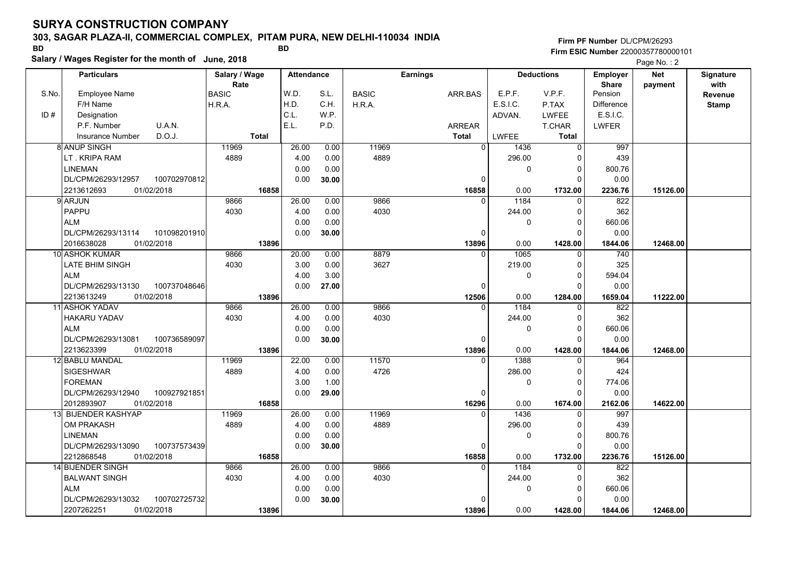### **303, SAGAR PLAZA-II, COMMERCIAL COMPLEX, PITAM PURA, NEW DELHI-110034 INDIA**

**Salary / Wages Register for the month of June, 2018 BD BD**

### **Firm PF Number**DL/CPM/26293**Firm ESIC Number** 22000357780000101

|       | <b>Particulars</b>                |              | Salary / Wage |              | <b>Attendance</b> |       |              | <b>Earnings</b> |               |          | <b>Deductions</b> | <b>Employer</b>   | <b>Net</b> | Signature    |
|-------|-----------------------------------|--------------|---------------|--------------|-------------------|-------|--------------|-----------------|---------------|----------|-------------------|-------------------|------------|--------------|
|       |                                   |              | Rate          |              |                   |       |              |                 |               |          |                   | <b>Share</b>      | payment    | with         |
| S.No. | <b>Employee Name</b>              |              | BASIC         |              | W.D.              | S.L.  | <b>BASIC</b> |                 | ARR.BAS       | E.P.F.   | V.P.F.            | Pension           |            | Revenue      |
|       | F/H Name                          |              | H.R.A.        |              | H.D.              | C.H.  | H.R.A.       |                 |               | E.S.I.C. | P.TAX             | <b>Difference</b> |            | <b>Stamp</b> |
| ID#   | Designation                       |              |               |              | C.L.              | W.P.  |              |                 |               | ADVAN.   | <b>LWFEE</b>      | E.S.I.C.          |            |              |
|       | U.A.N.<br>P.F. Number             |              |               |              | E.L.              | P.D.  |              |                 | <b>ARREAR</b> |          | T.CHAR            | <b>LWFER</b>      |            |              |
|       | D.O.J.<br><b>Insurance Number</b> |              |               | <b>Total</b> |                   |       |              |                 | <b>Total</b>  | LWFEE    | Total             |                   |            |              |
|       | <b>8 ANUP SINGH</b>               |              | 11969         |              | 26.00             | 0.00  | 11969        |                 | $\Omega$      | 1436     | $\Omega$          | 997               |            |              |
|       | LT. KRIPA RAM                     |              | 4889          |              | 4.00              | 0.00  | 4889         |                 |               | 296.00   | $\Omega$          | 439               |            |              |
|       | <b>LINEMAN</b>                    |              |               |              | 0.00              | 0.00  |              |                 |               | 0        | 0                 | 800.76            |            |              |
|       | DL/CPM/26293/12957                | 100702970812 |               |              | 0.00              | 30.00 |              |                 | 0             |          | $\Omega$          | 0.00              |            |              |
|       | 01/02/2018<br>2213612693          |              |               | 16858        |                   |       |              |                 | 16858         | 0.00     | 1732.00           | 2236.76           | 15126.00   |              |
|       | 9 ARJUN                           |              | 9866          |              | 26.00             | 0.00  | 9866         |                 | $\Omega$      | 1184     | $\Omega$          | 822               |            |              |
|       | PAPPU                             |              | 4030          |              | 4.00              | 0.00  | 4030         |                 |               | 244.00   | $\Omega$          | 362               |            |              |
|       | <b>ALM</b>                        |              |               |              | 0.00              | 0.00  |              |                 |               | $\Omega$ | $\mathbf 0$       | 660.06            |            |              |
|       | DL/CPM/26293/13114                | 101098201910 |               |              | 0.00              | 30.00 |              |                 | $\Omega$      |          | $\Omega$          | 0.00              |            |              |
|       | 01/02/2018<br>2016638028          |              |               | 13896        |                   |       |              |                 | 13896         | 0.00     | 1428.00           | 1844.06           | 12468.00   |              |
|       | 10 ASHOK KUMAR                    |              | 9866          |              | 20.00             | 0.00  | 8879         |                 | U             | 1065     | $\Omega$          | $\overline{740}$  |            |              |
|       | LATE BHIM SINGH                   |              | 4030          |              | 3.00              | 0.00  | 3627         |                 |               | 219.00   | $\Omega$          | 325               |            |              |
|       | <b>ALM</b>                        |              |               |              | 4.00              | 3.00  |              |                 |               | $\Omega$ | $\Omega$          | 594.04            |            |              |
|       | DL/CPM/26293/13130                | 100737048646 |               |              | 0.00              | 27.00 |              |                 | $\Omega$      |          | 0                 | 0.00              |            |              |
|       | 2213613249<br>01/02/2018          |              |               | 13896        |                   |       |              |                 | 12506         | 0.00     | 1284.00           | 1659.04           | 11222.00   |              |
|       | 11 ASHOK YADAV                    |              | 9866          |              | 26.00             | 0.00  | 9866         |                 | 0             | 1184     | 0                 | 822               |            |              |
|       | <b>HAKARU YADAV</b>               |              | 4030          |              | 4.00              | 0.00  | 4030         |                 |               | 244.00   | $\Omega$          | 362               |            |              |
|       | <b>ALM</b>                        |              |               |              | 0.00              | 0.00  |              |                 |               | $\Omega$ | $\Omega$          | 660.06            |            |              |
|       | DL/CPM/26293/13081                | 100736589097 |               |              | 0.00              | 30.00 |              |                 | 0             |          | $\Omega$          | 0.00              |            |              |
|       | 01/02/2018<br>2213623399          |              |               | 13896        |                   |       |              |                 | 13896         | 0.00     | 1428.00           | 1844.06           | 12468.00   |              |
|       | 12 BABLU MANDAL                   |              | 11969         |              | 22.00             | 0.00  | 11570        |                 | $\Omega$      | 1388     | $\Omega$          | 964               |            |              |
|       | <b>SIGESHWAR</b>                  |              | 4889          |              | 4.00              | 0.00  | 4726         |                 |               | 286.00   | $\Omega$          | 424               |            |              |
|       | <b>FOREMAN</b>                    |              |               |              | 3.00              | 1.00  |              |                 |               | 0        | $\Omega$          | 774.06            |            |              |
|       | DL/CPM/26293/12940                | 100927921851 |               |              | 0.00              | 29.00 |              |                 | $\Omega$      |          | $\Omega$          | 0.00              |            |              |
|       | 2012893907<br>01/02/2018          |              |               | 16858        |                   |       |              |                 | 16296         | 0.00     | 1674.00           | 2162.06           | 14622.00   |              |
| 13I   | <b>BIJENDER KASHYAP</b>           |              | 11969         |              | 26.00             | 0.00  | 11969        |                 | $\Omega$      | 1436     | $\Omega$          | 997               |            |              |
|       | OM PRAKASH                        |              | 4889          |              | 4.00              | 0.00  | 4889         |                 |               | 296.00   | 0                 | 439               |            |              |
|       | <b>LINEMAN</b>                    |              |               |              | 0.00              | 0.00  |              |                 |               | 0        | 0                 | 800.76            |            |              |
|       | DL/CPM/26293/13090                | 100737573439 |               |              | 0.00              | 30.00 |              |                 | $\Omega$      |          | $\Omega$          | 0.00              |            |              |
|       | 2212868548<br>01/02/2018          |              |               | 16858        |                   |       |              |                 | 16858         | 0.00     | 1732.00           | 2236.76           | 15126.00   |              |
|       | 14 BIJENDER SINGH                 |              | 9866          |              | 26.00             | 0.00  | 9866         |                 | $\Omega$      | 1184     | $\Omega$          | 822               |            |              |
|       | <b>BALWANT SINGH</b>              |              | 4030          |              | 4.00              | 0.00  | 4030         |                 |               | 244.00   | $\Omega$          | 362               |            |              |
|       | <b>ALM</b>                        |              |               |              | 0.00              | 0.00  |              |                 |               | 0        | $\Omega$          | 660.06            |            |              |
|       | DL/CPM/26293/13032                | 100702725732 |               |              | 0.00              | 30.00 |              |                 | 0             |          | $\Omega$          | 0.00              |            |              |
|       | 01/02/2018<br>2207262251          |              |               | 13896        |                   |       |              |                 | 13896         | 0.00     | 1428.00           | 1844.06           | 12468.00   |              |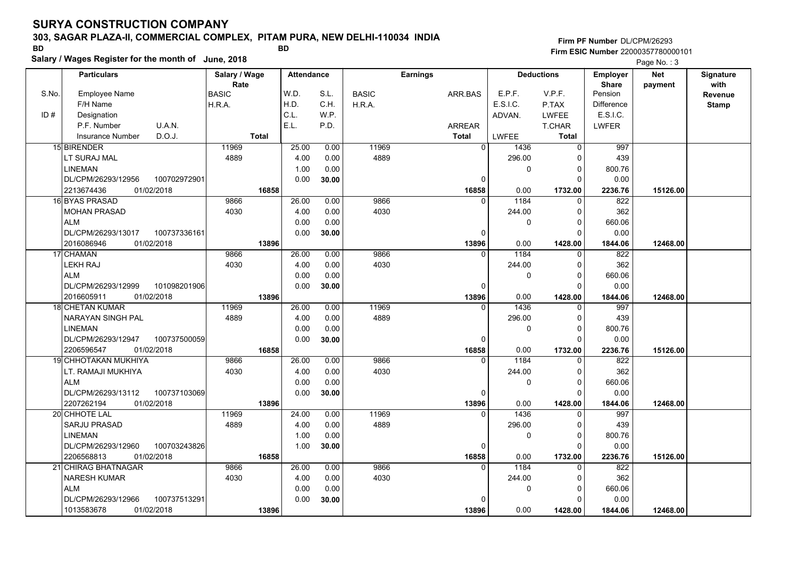### **303, SAGAR PLAZA-II, COMMERCIAL COMPLEX, PITAM PURA, NEW DELHI-110034 INDIA**

**Salary / Wages Register for the month of June, 2018 BD BD**

### **Firm PF Number**DL/CPM/26293**Firm ESIC Number** 22000357780000101

|       | <b>Particulars</b>       |              | Salary / Wage        |       | <b>Attendance</b> |       |              | Earnings     |          |          | <b>Deductions</b> | Employer          | <b>Net</b> | Signature       |
|-------|--------------------------|--------------|----------------------|-------|-------------------|-------|--------------|--------------|----------|----------|-------------------|-------------------|------------|-----------------|
| S.No. | <b>Employee Name</b>     |              | Rate<br><b>BASIC</b> |       | W.D.              | S.L.  | <b>BASIC</b> | ARR.BAS      |          | E.P.F.   | V.P.F.            | Share<br>Pension  | payment    | with<br>Revenue |
|       | F/H Name                 |              | H.R.A.               |       | H.D.              | C.H.  | H.R.A.       |              |          | E.S.I.C. | P.TAX             | <b>Difference</b> |            | <b>Stamp</b>    |
| ID#   | Designation              |              |                      |       | C.L.              | W.P.  |              |              |          | ADVAN.   | LWFEE             | E.S.I.C.          |            |                 |
|       | P.F. Number              | U.A.N.       |                      |       | E.L.              | P.D.  |              | ARREAR       |          |          | T.CHAR            | <b>LWFER</b>      |            |                 |
|       | <b>Insurance Number</b>  | D.O.J.       | <b>Total</b>         |       |                   |       |              | <b>Total</b> |          | LWFEE    | <b>Total</b>      |                   |            |                 |
|       | 15 BIRENDER              |              | 11969                |       | 25.00             | 0.00  | 11969        |              | 0        | 1436     | $\Omega$          | 997               |            |                 |
|       | LT SURAJ MAL             |              | 4889                 |       | 4.00              | 0.00  | 4889         |              |          | 296.00   | $\Omega$          | 439               |            |                 |
|       | <b>LINEMAN</b>           |              |                      |       | 1.00              | 0.00  |              |              |          | 0        | $\mathbf 0$       | 800.76            |            |                 |
|       | DL/CPM/26293/12956       | 100702972901 |                      |       | 0.00              | 30.00 |              |              | 0        |          | $\Omega$          | 0.00              |            |                 |
|       | 2213674436<br>01/02/2018 |              |                      | 16858 |                   |       |              |              | 16858    | 0.00     | 1732.00           | 2236.76           | 15126.00   |                 |
|       | 16 BYAS PRASAD           |              | 9866                 |       | 26.00             | 0.00  | 9866         |              | $\Omega$ | 1184     | $\Omega$          | 822               |            |                 |
|       | <b>MOHAN PRASAD</b>      |              | 4030                 |       | 4.00              | 0.00  | 4030         |              |          | 244.00   | $\Omega$          | 362               |            |                 |
|       | <b>ALM</b>               |              |                      |       | 0.00              | 0.00  |              |              |          | 0        | $\Omega$          | 660.06            |            |                 |
|       | DL/CPM/26293/13017       | 100737336161 |                      |       | 0.00              | 30.00 |              |              | 0        |          | $\Omega$          | 0.00              |            |                 |
|       | 2016086946<br>01/02/2018 |              |                      | 13896 |                   |       |              |              | 13896    | 0.00     | 1428.00           | 1844.06           | 12468.00   |                 |
|       | 17 CHAMAN                |              | 9866                 |       | 26.00             | 0.00  | 9866         |              | $\Omega$ | 1184     | $\Omega$          | 822               |            |                 |
|       | <b>LEKH RAJ</b>          |              | 4030                 |       | 4.00              | 0.00  | 4030         |              |          | 244.00   | $\mathbf 0$       | 362               |            |                 |
|       | <b>ALM</b>               |              |                      |       | 0.00              | 0.00  |              |              |          | 0        | $\Omega$          | 660.06            |            |                 |
|       | DL/CPM/26293/12999       | 101098201906 |                      |       | 0.00              | 30.00 |              |              | 0        |          | $\Omega$          | 0.00              |            |                 |
|       | 2016605911<br>01/02/2018 |              |                      | 13896 |                   |       |              |              | 13896    | 0.00     | 1428.00           | 1844.06           | 12468.00   |                 |
|       | <b>18 CHETAN KUMAR</b>   |              | 11969                |       | 26.00             | 0.00  | 11969        |              | 0        | 1436     | 0                 | 997               |            |                 |
|       | NARAYAN SINGH PAL        |              | 4889                 |       | 4.00              | 0.00  | 4889         |              |          | 296.00   | $\mathbf 0$       | 439               |            |                 |
|       | <b>LINEMAN</b>           |              |                      |       | 0.00              | 0.00  |              |              |          | 0        | $\Omega$          | 800.76            |            |                 |
|       | DL/CPM/26293/12947       | 100737500059 |                      |       | 0.00              | 30.00 |              |              | 0        |          | $\Omega$          | 0.00              |            |                 |
|       | 2206596547<br>01/02/2018 |              |                      | 16858 |                   |       |              |              | 16858    | 0.00     | 1732.00           | 2236.76           | 15126.00   |                 |
|       | 19 CHHOTAKAN MUKHIYA     |              | 9866                 |       | 26.00             | 0.00  | 9866         |              | $\Omega$ | 1184     | $\Omega$          | 822               |            |                 |
|       | LT. RAMAJI MUKHIYA       |              | 4030                 |       | 4.00              | 0.00  | 4030         |              |          | 244.00   | $\mathbf 0$       | 362               |            |                 |
|       | <b>ALM</b>               |              |                      |       | 0.00              | 0.00  |              |              |          | 0        | $\Omega$          | 660.06            |            |                 |
|       | DL/CPM/26293/13112       | 100737103069 |                      |       | 0.00              | 30.00 |              |              | 0        |          | $\Omega$          | 0.00              |            |                 |
|       | 2207262194<br>01/02/2018 |              |                      | 13896 |                   |       |              |              | 13896    | 0.00     | 1428.00           | 1844.06           | 12468.00   |                 |
|       | 20 CHHOTE LAL            |              | 11969                |       | 24.00             | 0.00  | 11969        |              | $\Omega$ | 1436     | $\Omega$          | 997               |            |                 |
|       | <b>SARJU PRASAD</b>      |              | 4889                 |       | 4.00              | 0.00  | 4889         |              |          | 296.00   | $\Omega$          | 439               |            |                 |
|       | <b>LINEMAN</b>           |              |                      |       | 1.00              | 0.00  |              |              |          | 0        | $\mathbf 0$       | 800.76            |            |                 |
|       | DL/CPM/26293/12960       | 100703243826 |                      |       | 1.00              | 30.00 |              |              | 0        |          | $\Omega$          | 0.00              |            |                 |
|       | 2206568813<br>01/02/2018 |              |                      | 16858 |                   |       |              |              | 16858    | 0.00     | 1732.00           | 2236.76           | 15126.00   |                 |
|       | 21 CHIRAG BHATNAGAR      |              | 9866                 |       | 26.00             | 0.00  | 9866         |              | $\Omega$ | 1184     | $\Omega$          | 822               |            |                 |
|       | <b>NARESH KUMAR</b>      |              | 4030                 |       | 4.00              | 0.00  | 4030         |              |          | 244.00   | $\Omega$          | 362               |            |                 |
|       | <b>ALM</b>               |              |                      |       | 0.00              | 0.00  |              |              |          | 0        | $\mathbf 0$       | 660.06            |            |                 |
|       | DL/CPM/26293/12966       | 100737513291 |                      |       | 0.00              | 30.00 |              |              | $\Omega$ |          | $\Omega$          | 0.00              |            |                 |
|       | 01/02/2018<br>1013583678 |              |                      | 13896 |                   |       |              |              | 13896    | 0.00     | 1428.00           | 1844.06           | 12468.00   |                 |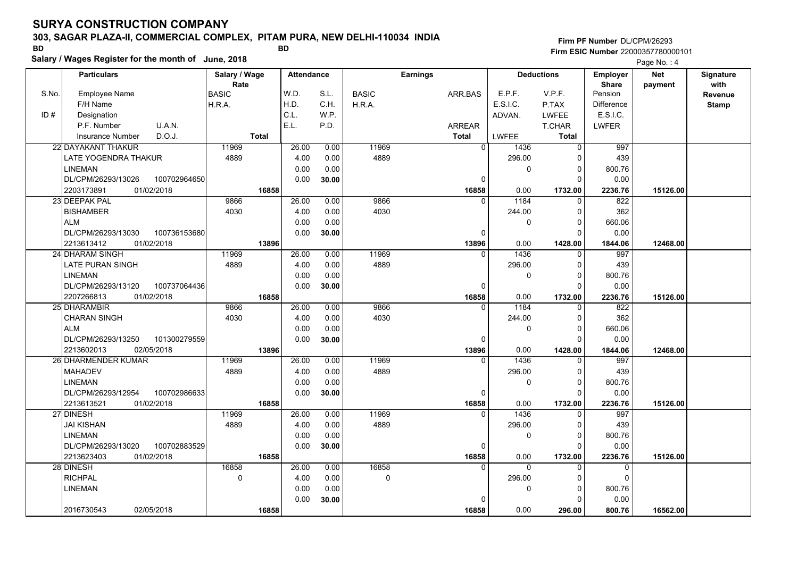### **303, SAGAR PLAZA-II, COMMERCIAL COMPLEX, PITAM PURA, NEW DELHI-110034 INDIA**

**Salary / Wages Register for the month of June, 2018 BD BD Firm PF Number**DL/CPM/26293**Firm ESIC Number** 22000357780000101

|       | Salary / Wages Register for the month of June, 2018 |               |                   |       |              |                 |                      |                   |                   | Page No.: 4 |              |
|-------|-----------------------------------------------------|---------------|-------------------|-------|--------------|-----------------|----------------------|-------------------|-------------------|-------------|--------------|
|       | <b>Particulars</b>                                  | Salary / Wage | <b>Attendance</b> |       |              | <b>Earnings</b> |                      | <b>Deductions</b> | <b>Employer</b>   | <b>Net</b>  | Signature    |
|       |                                                     | Rate          |                   |       |              |                 |                      |                   | <b>Share</b>      | payment     | with         |
| S.No. | <b>Employee Name</b>                                | <b>BASIC</b>  | W.D.              | S.L.  | <b>BASIC</b> | ARR.BAS         | E.P.F.               | V.P.F.            | Pension           |             | Revenue      |
|       | F/H Name                                            | H.R.A.        | H.D.              | C.H.  | H.R.A.       |                 | E.S.I.C.             | P.TAX             | <b>Difference</b> |             | <b>Stamp</b> |
| ID#   | Designation                                         |               | C.L.              | W.P.  |              |                 | ADVAN.               | <b>LWFEE</b>      | E.S.I.C.          |             |              |
|       | P.F. Number<br>U.A.N.                               |               | E.L.              | P.D.  |              | ARREAR          |                      | T.CHAR            | <b>LWFER</b>      |             |              |
|       | D.O.J.<br><b>Insurance Number</b>                   | <b>Total</b>  |                   |       |              | <b>Total</b>    | LWFEE                | <b>Total</b>      |                   |             |              |
|       | 22 DAYAKANT THAKUR                                  | 11969         | 26.00             | 0.00  | 11969        |                 | $\mathbf 0$<br>1436  | $\overline{0}$    | 997               |             |              |
|       | LATE YOGENDRA THAKUR                                | 4889          | 4.00              | 0.00  | 4889         |                 | 296.00               | $\Omega$          | 439               |             |              |
|       | <b>LINEMAN</b>                                      |               | 0.00              | 0.00  |              |                 | 0                    | 0                 | 800.76            |             |              |
|       | DL/CPM/26293/13026<br>100702964650                  |               | 0.00              | 30.00 |              |                 | $\Omega$             | $\Omega$          | 0.00              |             |              |
|       | 2203173891<br>01/02/2018                            | 16858         |                   |       |              | 16858           | 0.00                 | 1732.00           | 2236.76           | 15126.00    |              |
|       | 23 DEEPAK PAL                                       | 9866          | 26.00             | 0.00  | 9866         |                 | 1184<br>$\Omega$     | $\Omega$          | 822               |             |              |
|       | <b>BISHAMBER</b>                                    | 4030          | 4.00              | 0.00  | 4030         |                 | 244.00               | 0                 | 362               |             |              |
|       | <b>ALM</b>                                          |               | 0.00              | 0.00  |              |                 | $\mathbf{0}$         | $\mathbf{0}$      | 660.06            |             |              |
|       | DL/CPM/26293/13030<br>100736153680                  |               | 0.00              | 30.00 |              |                 | 0                    | $\Omega$          | 0.00              |             |              |
|       | 2213613412<br>01/02/2018                            | 13896         |                   |       |              | 13896           | 0.00                 | 1428.00           | 1844.06           | 12468.00    |              |
|       | 24 DHARAM SINGH                                     | 11969         | 26.00             | 0.00  | 11969        |                 | 1436<br>$\mathbf{0}$ | $\Omega$          | 997               |             |              |
|       | LATE PURAN SINGH                                    | 4889          | 4.00              | 0.00  | 4889         |                 | 296.00               | 0                 | 439               |             |              |
|       | <b>LINEMAN</b>                                      |               | 0.00              | 0.00  |              |                 | 0                    | 0                 | 800.76            |             |              |
|       | DL/CPM/26293/13120<br>100737064436                  |               | 0.00              | 30.00 |              |                 | $\Omega$             | $\Omega$          | 0.00              |             |              |
|       | 2207266813<br>01/02/2018                            | 16858         |                   |       |              | 16858           | 0.00                 | 1732.00           | 2236.76           | 15126.00    |              |
|       | 25 DHARAMBIR                                        | 9866          | 26.00             | 0.00  | 9866         |                 | 1184<br>$\Omega$     | $\Omega$          | 822               |             |              |
|       | <b>CHARAN SINGH</b>                                 | 4030          | 4.00              | 0.00  | 4030         |                 | 244.00               | $\Omega$          | 362               |             |              |
|       | <b>ALM</b>                                          |               | 0.00              | 0.00  |              |                 | $\mathbf{0}$         | 0                 | 660.06            |             |              |
|       | 101300279559<br>DL/CPM/26293/13250                  |               | 0.00              | 30.00 |              |                 | 0                    | $\Omega$          | 0.00              |             |              |
|       | 02/05/2018<br>2213602013                            | 13896         |                   |       |              | 13896           | 0.00                 | 1428.00           | 1844.06           | 12468.00    |              |
|       | 26 DHARMENDER KUMAR                                 | 11969         | 26.00             | 0.00  | 11969        | $\Omega$        | 1436                 | $\Omega$          | 997               |             |              |
|       | <b>MAHADEV</b>                                      | 4889          | 4.00              | 0.00  | 4889         |                 | 296.00               | 0                 | 439               |             |              |
|       | <b>LINEMAN</b>                                      |               | 0.00              | 0.00  |              |                 | $\mathbf{0}$         | $\Omega$          | 800.76            |             |              |
|       | 100702986633<br>DL/CPM/26293/12954                  |               | 0.00              | 30.00 |              |                 | 0                    | $\Omega$          | 0.00              |             |              |
|       | 2213613521<br>01/02/2018                            | 16858         |                   |       |              | 16858           | 0.00                 | 1732.00           | 2236.76           | 15126.00    |              |
|       | 27 DINESH                                           | 11969         | 26.00             | 0.00  | 11969        |                 | 1436<br>0            | 0                 | 997               |             |              |
|       | <b>JAI KISHAN</b>                                   | 4889          | 4.00              | 0.00  | 4889         |                 | 296.00               | $\Omega$          | 439               |             |              |
|       | <b>LINEMAN</b>                                      |               | 0.00              | 0.00  |              |                 | $\Omega$             | $\Omega$          | 800.76            |             |              |
|       | DL/CPM/26293/13020<br>100702883529                  |               | 0.00              | 30.00 |              |                 | $\Omega$             | $\Omega$          | 0.00              |             |              |
|       | 2213623403<br>01/02/2018                            | 16858         |                   |       |              | 16858           | 0.00                 | 1732.00           | 2236.76           | 15126.00    |              |
|       | 28 DINESH                                           | 16858         | 26.00             | 0.00  | 16858        |                 | $\Omega$<br>$\Omega$ | $\Omega$          | $\Omega$          |             |              |
|       | <b>RICHPAL</b>                                      | $\Omega$      | 4.00              | 0.00  | $\Omega$     |                 | 296.00               | $\Omega$          | $\Omega$          |             |              |
|       | LINEMAN                                             |               | 0.00              | 0.00  |              |                 | $\mathbf 0$          | 0                 | 800.76            |             |              |
|       |                                                     |               | 0.00              | 30.00 |              |                 |                      | $\Omega$          | 0.00              |             |              |
|       | 2016730543<br>02/05/2018                            | 16858         |                   |       |              | 16858           | 0.00                 | 296.00            | 800.76            | 16562.00    |              |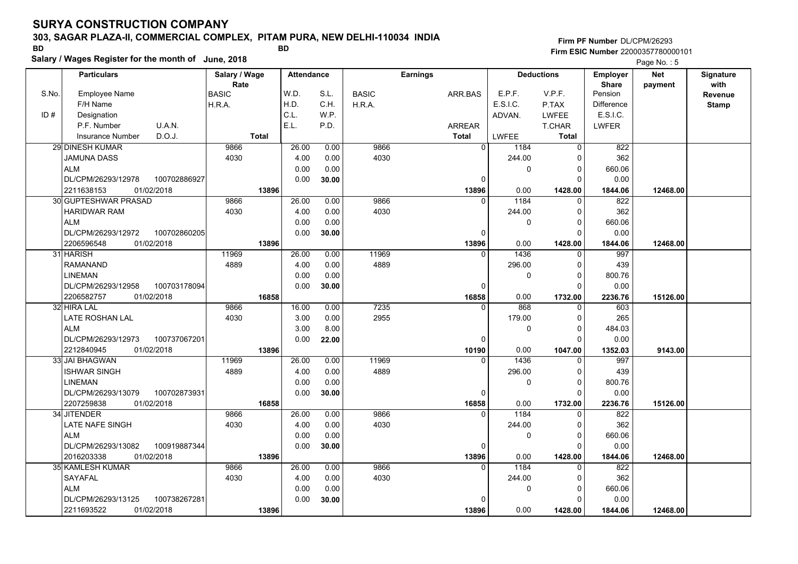### **303, SAGAR PLAZA-II, COMMERCIAL COMPLEX, PITAM PURA, NEW DELHI-110034 INDIA**

**Salary / Wages Register for the month of June, 2018 BD BD**

### **Firm PF Number**DL/CPM/26293**Firm ESIC Number** 22000357780000101

|       | <b>Particulars</b>                               | Salary / Wage        | <b>Attendance</b> |       |              | <b>Earnings</b> |                          | <b>Deductions</b>   | <b>Employer</b>         | <b>Net</b> | Signature       |
|-------|--------------------------------------------------|----------------------|-------------------|-------|--------------|-----------------|--------------------------|---------------------|-------------------------|------------|-----------------|
| S.No. | <b>Employee Name</b>                             | Rate<br><b>BASIC</b> | W.D.              | S.L.  | <b>BASIC</b> | ARR.BAS         | E.P.F.                   | V.P.F.              | <b>Share</b><br>Pension | payment    | with<br>Revenue |
|       | F/H Name                                         | H.R.A.               | H.D.              | C.H.  | H.R.A.       |                 | E.S.I.C.                 | P.TAX               | <b>Difference</b>       |            | <b>Stamp</b>    |
| ID#   | Designation                                      |                      | C.L.              | W.P.  |              |                 | ADVAN.                   | <b>LWFEE</b>        | E.S.I.C.                |            |                 |
|       | P.F. Number<br>U.A.N.                            |                      | E.L.              | P.D.  |              | ARREAR          |                          | <b>T.CHAR</b>       | <b>LWFER</b>            |            |                 |
|       | D.O.J.<br><b>Insurance Number</b>                | <b>Total</b>         |                   |       |              | <b>Total</b>    | LWFEE                    | Total               |                         |            |                 |
|       | 29 DINESH KUMAR                                  | 9866                 | 26.00             | 0.00  | 9866         |                 | $\overline{0}$<br>1184   | $\mathbf 0$         | 822                     |            |                 |
|       | <b>JAMUNA DASS</b>                               | 4030                 | 4.00              | 0.00  | 4030         |                 | 244.00                   | 0                   | 362                     |            |                 |
|       | <b>ALM</b>                                       |                      | 0.00              | 0.00  |              |                 | 0                        | $\mathbf 0$         | 660.06                  |            |                 |
|       | 100702886927<br>DL/CPM/26293/12978               |                      | 0.00              | 30.00 |              |                 | 0                        | $\Omega$            | 0.00                    |            |                 |
|       | 01/02/2018<br>2211638153                         | 13896                |                   |       |              | 13896           | 0.00                     | 1428.00             | 1844.06                 | 12468.00   |                 |
|       | 30 GUPTESHWAR PRASAD                             | 9866                 | 26.00             | 0.00  | 9866         |                 | 1184<br>$\Omega$         | $\mathbf 0$         | 822                     |            |                 |
|       | <b>HARIDWAR RAM</b>                              | 4030                 | 4.00              | 0.00  | 4030         |                 | 244.00                   | $\mathbf 0$         | 362                     |            |                 |
|       |                                                  |                      |                   |       |              |                 |                          | $\mathbf 0$         |                         |            |                 |
|       | <b>ALM</b><br>DL/CPM/26293/12972<br>100702860205 |                      | 0.00              | 0.00  |              |                 | 0<br>O                   | $\Omega$            | 660.06                  |            |                 |
|       | 01/02/2018                                       | 13896                | 0.00              | 30.00 |              | 13896           |                          | 1428.00             | 0.00                    | 12468.00   |                 |
|       | 2206596548<br>31 HARISH                          | 11969                | 26.00             | 0.00  | 11969        |                 | 0.00<br>1436<br>$\Omega$ |                     | 1844.06<br>997          |            |                 |
|       |                                                  |                      |                   |       |              |                 |                          | 0                   |                         |            |                 |
|       | <b>RAMANAND</b>                                  | 4889                 | 4.00              | 0.00  | 4889         |                 | 296.00                   | 0                   | 439                     |            |                 |
|       | <b>LINEMAN</b>                                   |                      | 0.00              | 0.00  |              |                 | 0                        | $\mathbf 0$         | 800.76                  |            |                 |
|       | DL/CPM/26293/12958<br>100703178094               |                      | 0.00              | 30.00 |              |                 | $\Omega$                 | $\Omega$            | 0.00                    |            |                 |
|       | 2206582757<br>01/02/2018<br>32 HIRA LAL          | 16858<br>9866        | 16.00             |       | 7235         | 16858           | 0.00<br>868<br>$\Omega$  | 1732.00             | 2236.76<br>603          | 15126.00   |                 |
|       |                                                  | 4030                 |                   | 0.00  | 2955         |                 |                          | 0<br>$\mathbf 0$    |                         |            |                 |
|       | LATE ROSHAN LAL                                  |                      | 3.00              | 0.00  |              |                 | 179.00                   | $\Omega$            | 265                     |            |                 |
|       | <b>ALM</b>                                       |                      | 3.00              | 8.00  |              |                 | 0<br>$\Omega$            | $\Omega$            | 484.03                  |            |                 |
|       | DL/CPM/26293/12973<br>100737067201               |                      | 0.00              | 22.00 |              |                 |                          |                     | 0.00                    |            |                 |
|       | 2212840945<br>01/02/2018<br>33 JAI BHAGWAN       | 13896<br>11969       |                   |       | 11969        | 10190           | 0.00<br>$\Omega$         | 1047.00<br>$\Omega$ | 1352.03                 | 9143.00    |                 |
|       |                                                  | 4889                 | 26.00<br>4.00     | 0.00  | 4889         |                 | 1436                     |                     | 997                     |            |                 |
|       | <b>ISHWAR SINGH</b>                              |                      |                   | 0.00  |              |                 | 296.00                   | $\Omega$            | 439                     |            |                 |
|       | <b>LINEMAN</b>                                   |                      | 0.00              | 0.00  |              |                 | 0                        | $\mathbf 0$         | 800.76                  |            |                 |
|       | DL/CPM/26293/13079<br>100702873931               |                      | 0.00              | 30.00 |              |                 | 0                        | $\mathbf 0$         | 0.00                    |            |                 |
|       | 2207259838<br>01/02/2018                         | 16858                |                   |       |              | 16858           | 0.00<br>$\Omega$         | 1732.00             | 2236.76                 | 15126.00   |                 |
|       | 34 JITENDER                                      | 9866                 | 26.00             | 0.00  | 9866         |                 | 1184                     | $\mathbf 0$         | 822                     |            |                 |
|       | LATE NAFE SINGH                                  | 4030                 | 4.00              | 0.00  | 4030         |                 | 244.00                   | 0                   | 362                     |            |                 |
|       | <b>ALM</b>                                       |                      | 0.00              | 0.00  |              |                 | 0                        | $\mathbf 0$         | 660.06                  |            |                 |
|       | DL/CPM/26293/13082<br>100919887344               |                      | 0.00              | 30.00 |              |                 | $\Omega$                 | $\Omega$            | 0.00                    |            |                 |
|       | 2016203338<br>01/02/2018                         | 13896                |                   |       |              | 13896           | 0.00                     | 1428.00             | 1844.06                 | 12468.00   |                 |
|       | 35 KAMLESH KUMAR                                 | 9866                 | 26.00             | 0.00  | 9866         |                 | 1184<br>$\Omega$         | $\Omega$            | 822                     |            |                 |
|       | SAYAFAL                                          | 4030                 | 4.00              | 0.00  | 4030         |                 | 244.00                   | 0                   | 362                     |            |                 |
|       | <b>ALM</b>                                       |                      | 0.00              | 0.00  |              |                 | 0                        | 0                   | 660.06                  |            |                 |
|       | DL/CPM/26293/13125<br>100738267281               |                      | 0.00              | 30.00 |              |                 |                          | $\Omega$            | 0.00                    |            |                 |
|       | 2211693522<br>01/02/2018                         | 13896                |                   |       |              | 13896           | 0.00                     | 1428.00             | 1844.06                 | 12468.00   |                 |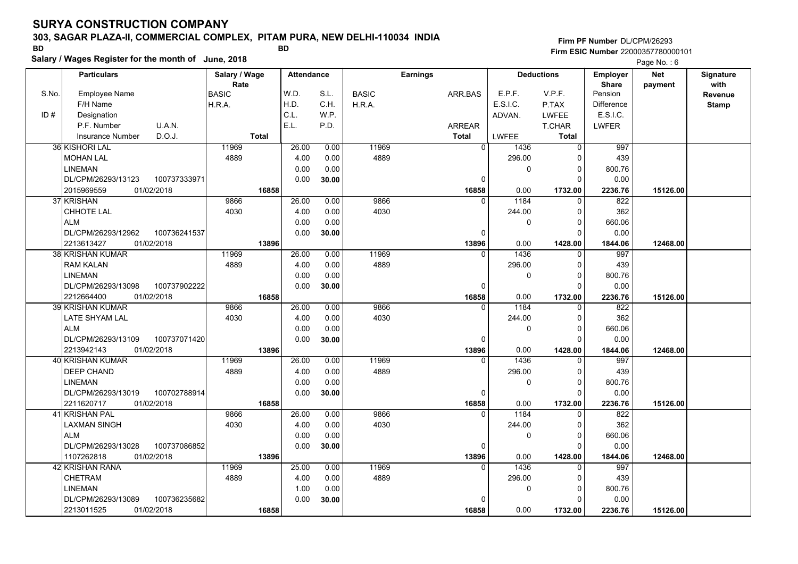### **303, SAGAR PLAZA-II, COMMERCIAL COMPLEX, PITAM PURA, NEW DELHI-110034 INDIA**

**Salary / Wages Register for the month of June, 2018 BD BD**

### **Firm PF Number**DL/CPM/26293**Firm ESIC Number** 22000357780000101

|       | <b>Particulars</b>                                   | Salary / Wage<br>Rate |              | <b>Attendance</b> |              |               | <b>Earnings</b> |                          | <b>Deductions</b>    | <b>Employer</b><br><b>Share</b> | <b>Net</b> | Signature<br>with |
|-------|------------------------------------------------------|-----------------------|--------------|-------------------|--------------|---------------|-----------------|--------------------------|----------------------|---------------------------------|------------|-------------------|
| S.No. | Employee Name                                        | <b>BASIC</b>          |              | W.D.              | S.L.         | <b>BASIC</b>  | ARR BAS         | E.P.F.                   | V.P.F.               | Pension                         | payment    | <b>Revenue</b>    |
|       | F/H Name                                             | H.R.A.                |              | H.D.              | C.H.         | H.R.A.        |                 | E.S.I.C.                 | P.TAX                | <b>Difference</b>               |            | <b>Stamp</b>      |
| ID#   | Designation                                          |                       |              | C.L.              | W.P.         |               |                 | ADVAN.                   | <b>LWFEE</b>         | E.S.I.C.                        |            |                   |
|       | U.A.N.<br>P.F. Number                                |                       |              | E.L.              | P.D.         |               | <b>ARREAR</b>   |                          | <b>T.CHAR</b>        | <b>LWFER</b>                    |            |                   |
|       | D.O.J.<br><b>Insurance Number</b>                    |                       | <b>Total</b> |                   |              |               | <b>Total</b>    | <b>LWFEE</b>             | <b>Total</b>         |                                 |            |                   |
|       | 36 KISHORI LAL                                       | 11969                 |              | 26.00             | 0.00         | 11969         |                 | $\mathbf{0}$<br>1436     | $\Omega$             | 997                             |            |                   |
|       | <b>MOHAN LAL</b>                                     | 4889                  |              | 4.00              | 0.00         | 4889          |                 | 296.00                   | n                    | 439                             |            |                   |
|       | <b>LINEMAN</b>                                       |                       |              | 0.00              | 0.00         |               |                 | 0                        | $\Omega$             | 800.76                          |            |                   |
|       | DL/CPM/26293/13123<br>100737333971                   |                       |              | 0.00              | 30.00        |               |                 | $\mathbf 0$              | $\Omega$             | 0.00                            |            |                   |
|       | 01/02/2018<br>2015969559                             |                       | 16858        |                   |              |               | 16858           | 0.00                     | 1732.00              | 2236.76                         | 15126.00   |                   |
|       | 37 KRISHAN                                           | 9866                  |              | 26.00             | 0.00         | 9866          |                 | 1184<br>$\Omega$         | $\Omega$             | 822                             |            |                   |
|       | CHHOTE LAL                                           | 4030                  |              | 4.00              | 0.00         | 4030          |                 | 244.00                   | $\Omega$             | 362                             |            |                   |
|       | <b>ALM</b>                                           |                       |              | 0.00              | 0.00         |               |                 | 0                        | $\Omega$             | 660.06                          |            |                   |
|       | DL/CPM/26293/12962<br>100736241537                   |                       |              | 0.00              | 30.00        |               |                 | 0                        | $\Omega$             | 0.00                            |            |                   |
|       | 01/02/2018<br>2213613427                             |                       | 13896        |                   |              |               | 13896           | 0.00                     | 1428.00              | 1844.06                         | 12468.00   |                   |
|       | <b>38 KRISHAN KUMAR</b>                              | 11969                 |              | 26.00             | 0.00         | 11969         |                 | 1436<br>$\Omega$         | 0                    | 997                             |            |                   |
|       | <b>RAM KALAN</b>                                     | 4889                  |              | 4.00              | 0.00         | 4889          |                 | 296.00                   | $\Omega$             | 439                             |            |                   |
|       | <b>LINEMAN</b>                                       |                       |              | 0.00              | 0.00         |               |                 | 0                        | $\Omega$             | 800.76                          |            |                   |
|       | DL/CPM/26293/13098<br>100737902222                   |                       |              | 0.00              | 30.00        |               |                 | $\mathbf 0$              | $\Omega$             | 0.00                            |            |                   |
|       | 2212664400<br>01/02/2018                             |                       | 16858        |                   |              |               | 16858           | 0.00                     | 1732.00              | 2236.76                         | 15126.00   |                   |
|       | <b>39 KRISHAN KUMAR</b>                              | 9866                  |              | 26.00             | 0.00         | 9866          |                 | 1184<br>$\Omega$         | $\Omega$             | 822                             |            |                   |
|       | <b>LATE SHYAM LAL</b>                                | 4030                  |              | 4.00              | 0.00         | 4030          |                 | 244.00                   | $\Omega$             | 362                             |            |                   |
|       | <b>ALM</b>                                           |                       |              | 0.00              | 0.00         |               |                 | 0                        | $\Omega$             | 660.06                          |            |                   |
|       | 100737071420<br>DL/CPM/26293/13109                   |                       |              | 0.00              | 30.00        |               |                 | $\mathbf 0$              | $\Omega$             | 0.00                            |            |                   |
|       | 01/02/2018<br>2213942143                             |                       | 13896        |                   |              |               | 13896           | 0.00                     | 1428.00              | 1844.06                         | 12468.00   |                   |
|       | 40 KRISHAN KUMAR                                     | 11969                 |              | 26.00             | 0.00         | 11969         |                 | 1436<br>$\Omega$         |                      | 997                             |            |                   |
|       | <b>DEEP CHAND</b>                                    | 4889                  |              | 4.00              | 0.00         | 4889          |                 | 296.00                   | $\Omega$             | 439                             |            |                   |
|       | <b>LINEMAN</b>                                       |                       |              | 0.00              | 0.00         |               |                 | 0                        | 0                    | 800.76                          |            |                   |
|       | 100702788914<br>DL/CPM/26293/13019                   |                       |              | 0.00              | 30.00        |               |                 | $\mathbf 0$              | $\Omega$             | 0.00                            |            |                   |
|       | 2211620717<br>01/02/2018                             |                       | 16858        |                   |              |               | 16858           | 0.00                     | 1732.00              | 2236.76                         | 15126.00   |                   |
|       | 41 KRISHAN PAL                                       | 9866                  |              | 26.00             | 0.00         | 9866          |                 | 1184<br>$\Omega$         | $\Omega$             | 822                             |            |                   |
|       | <b>LAXMAN SINGH</b>                                  | 4030                  |              | 4.00              | 0.00         | 4030          |                 | 244.00                   | $\Omega$             | 362                             |            |                   |
|       | <b>ALM</b>                                           |                       |              | 0.00              | 0.00         |               |                 | 0                        | $\mathbf 0$          | 660.06                          |            |                   |
|       | 100737086852<br>DL/CPM/26293/13028                   |                       |              | 0.00              | 30.00        |               |                 | 0                        | C                    | 0.00                            |            |                   |
|       | 1107262818<br>01/02/2018                             |                       | 13896        |                   |              |               | 13896           | 0.00<br>1436<br>$\Omega$ | 1428.00              | 1844.06                         | 12468.00   |                   |
|       | 42 KRISHAN RANA<br><b>CHETRAM</b>                    | 11969<br>4889         |              | 25.00<br>4.00     | 0.00<br>0.00 | 11969<br>4889 |                 | 296.00                   | $\Omega$<br>$\Omega$ | 997<br>439                      |            |                   |
|       |                                                      |                       |              |                   |              |               |                 |                          |                      |                                 |            |                   |
|       | <b>LINEMAN</b><br>DL/CPM/26293/13089<br>100736235682 |                       |              | 1.00<br>0.00      | 0.00         |               |                 | 0<br><sup>0</sup>        | $\Omega$<br>O        | 800.76                          |            |                   |
|       | 01/02/2018<br>2213011525                             |                       | 16858        |                   | 30.00        |               |                 | 0.00                     |                      | 0.00                            | 15126.00   |                   |
|       |                                                      |                       |              |                   |              |               | 16858           |                          | 1732.00              | 2236.76                         |            |                   |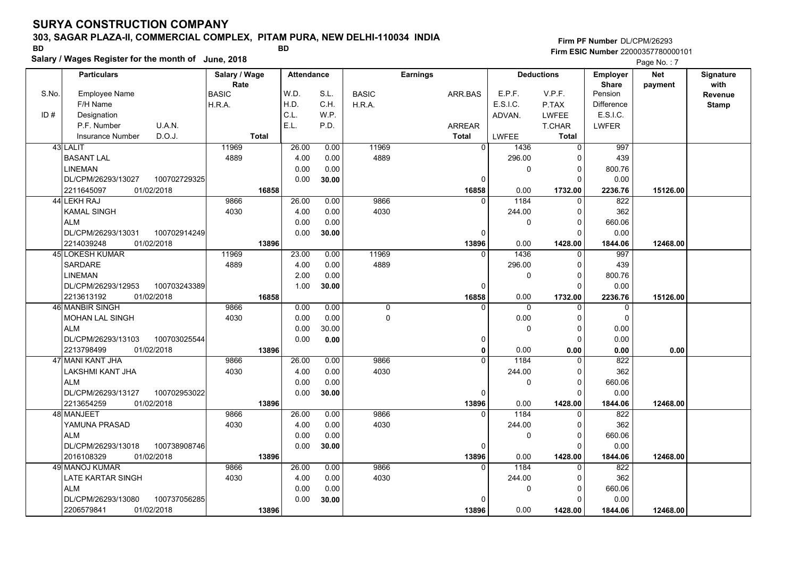### **303, SAGAR PLAZA-II, COMMERCIAL COMPLEX, PITAM PURA, NEW DELHI-110034 INDIA**

**Salary / Wages Register for the month of June, 2018 BD BD**

### **Firm PF Number**DL/CPM/26293**Firm ESIC Number** 22000357780000101

|       | <b>Particulars</b>                 | Salary / Wage        | <b>Attendance</b> |       |              | <b>Earnings</b> |                | <b>Deductions</b>    | Employer                | <b>Net</b> | Signature       |
|-------|------------------------------------|----------------------|-------------------|-------|--------------|-----------------|----------------|----------------------|-------------------------|------------|-----------------|
| S.No. | Employee Name                      | Rate<br><b>BASIC</b> | W.D.              | S.L.  | <b>BASIC</b> | ARR.BAS         | E.P.F.         | V.P.F.               | <b>Share</b><br>Pension | payment    | with<br>Revenue |
|       | F/H Name                           | H.R.A.               | H.D.              | C.H.  | H.R.A.       |                 | E.S.I.C.       | P.TAX                | <b>Difference</b>       |            | <b>Stamp</b>    |
| ID#   | Designation                        |                      | C.L.              | W.P.  |              |                 | ADVAN.         | LWFEE                | E.S.I.C.                |            |                 |
|       | U.A.N.<br>P.F. Number              |                      | E.L.              | P.D.  |              | <b>ARREAR</b>   |                | T.CHAR               | <b>LWFER</b>            |            |                 |
|       | D.O.J.<br><b>Insurance Number</b>  | <b>Total</b>         |                   |       |              | <b>Total</b>    | <b>LWFEE</b>   | <b>Total</b>         |                         |            |                 |
|       | 43 LALIT                           | 11969                | 26.00             | 0.00  | 11969        |                 | $\overline{0}$ | 1436<br>$\mathbf 0$  | 997                     |            |                 |
|       | <b>BASANT LAL</b>                  | 4889                 | 4.00              | 0.00  | 4889         |                 |                | 296.00<br>0          | 439                     |            |                 |
|       | <b>LINEMAN</b>                     |                      | 0.00              | 0.00  |              |                 |                | 0<br>$\Omega$        | 800.76                  |            |                 |
|       | DL/CPM/26293/13027<br>100702729325 |                      | 0.00              | 30.00 |              |                 | $\Omega$       | $\Omega$             | 0.00                    |            |                 |
|       | 01/02/2018<br>2211645097           | 16858                |                   |       |              | 16858           |                | 0.00<br>1732.00      | 2236.76                 | 15126.00   |                 |
|       | 44 LEKH RAJ                        | 9866                 | 26.00             | 0.00  | 9866         |                 | $\Omega$       | 1184<br>$\mathbf 0$  | 822                     |            |                 |
|       | <b>KAMAL SINGH</b>                 | 4030                 | 4.00              | 0.00  | 4030         |                 |                | 244.00<br>$\Omega$   | 362                     |            |                 |
|       | <b>ALM</b>                         |                      | 0.00              | 0.00  |              |                 |                | 0<br>$\Omega$        | 660.06                  |            |                 |
|       | DL/CPM/26293/13031<br>100702914249 |                      | 0.00              | 30.00 |              |                 | 0              | $\Omega$             | 0.00                    |            |                 |
|       | 01/02/2018<br>2214039248           | 13896                |                   |       |              | 13896           |                | 0.00<br>1428.00      | 1844.06                 | 12468.00   |                 |
|       | <b>45 LOKESH KUMAR</b>             | 11969                | 23.00             | 0.00  | 11969        |                 | $\Omega$       | 1436<br>$\Omega$     | 997                     |            |                 |
|       | <b>SARDARE</b>                     | 4889                 | 4.00              | 0.00  | 4889         |                 |                | 296.00<br>$\Omega$   | 439                     |            |                 |
|       | <b>LINEMAN</b>                     |                      | 2.00              | 0.00  |              |                 |                | $\Omega$<br>0        | 800.76                  |            |                 |
|       | DL/CPM/26293/12953<br>100703243389 |                      | 1.00              | 30.00 |              |                 | $\Omega$       | $\Omega$             | 0.00                    |            |                 |
|       | 2213613192<br>01/02/2018           | 16858                |                   |       |              | 16858           |                | 0.00<br>1732.00      | 2236.76                 | 15126.00   |                 |
|       | 46 MANBIR SINGH                    | 9866                 | 0.00              | 0.00  | 0            |                 | $\Omega$       | $\Omega$<br>0        | $\mathbf 0$             |            |                 |
|       | MOHAN LAL SINGH                    | 4030                 | 0.00              | 0.00  | 0            |                 |                | 0.00<br>0            | $\mathbf 0$             |            |                 |
|       | <b>ALM</b>                         |                      | 0.00              | 30.00 |              |                 |                | $\Omega$<br>$\Omega$ | 0.00                    |            |                 |
|       | 100703025544<br>DL/CPM/26293/13103 |                      | 0.00              | 0.00  |              |                 | 0              | $\Omega$             | 0.00                    |            |                 |
|       | 2213798499<br>01/02/2018           | 13896                |                   |       |              |                 | 0              | 0.00<br>0.00         | 0.00                    | 0.00       |                 |
|       | 47 MANI KANT JHA                   | 9866                 | 26.00             | 0.00  | 9866         |                 | $\overline{0}$ | 1184<br>$\Omega$     | 822                     |            |                 |
|       | LAKSHMI KANT JHA                   | 4030                 | 4.00              | 0.00  | 4030         |                 |                | 244.00<br>$\Omega$   | 362                     |            |                 |
|       | <b>ALM</b>                         |                      | 0.00              | 0.00  |              |                 |                | $\Omega$<br>0        | 660.06                  |            |                 |
|       | DL/CPM/26293/13127<br>100702953022 |                      | 0.00              | 30.00 |              |                 | 0              | $\Omega$             | 0.00                    |            |                 |
|       | 2213654259<br>01/02/2018           | 13896                |                   |       |              | 13896           |                | 0.00<br>1428.00      | 1844.06                 | 12468.00   |                 |
|       | 48 MANJEET                         | 9866                 | 26.00             | 0.00  | 9866         |                 | $\mathbf{0}$   | 1184<br>$\mathbf 0$  | 822                     |            |                 |
|       | YAMUNA PRASAD                      | 4030                 | 4.00              | 0.00  | 4030         |                 |                | 244.00<br>$\Omega$   | 362                     |            |                 |
|       | <b>ALM</b>                         |                      | 0.00              | 0.00  |              |                 |                | $\Omega$<br>0        | 660.06                  |            |                 |
|       | DL/CPM/26293/13018<br>100738908746 |                      | 0.00              | 30.00 |              |                 | 0              | $\Omega$             | 0.00                    |            |                 |
|       | 2016108329<br>01/02/2018           | 13896                |                   |       |              | 13896           |                | 0.00<br>1428.00      | 1844.06                 | 12468.00   |                 |
|       | 49 MANOJ KUMAR                     | 9866                 | 26.00             | 0.00  | 9866         |                 | $\Omega$       | 1184<br>0            | 822                     |            |                 |
|       | LATE KARTAR SINGH                  | 4030                 | 4.00              | 0.00  | 4030         |                 |                | 244.00<br>0          | 362                     |            |                 |
|       | <b>ALM</b>                         |                      | 0.00              | 0.00  |              |                 |                | 0<br>$\Omega$        | 660.06                  |            |                 |
|       | DL/CPM/26293/13080<br>100737056285 |                      | 0.00              | 30.00 |              |                 | $\Omega$       | $\Omega$             | 0.00                    |            |                 |
|       | 2206579841<br>01/02/2018           | 13896                |                   |       |              | 13896           |                | 0.00<br>1428.00      | 1844.06                 | 12468.00   |                 |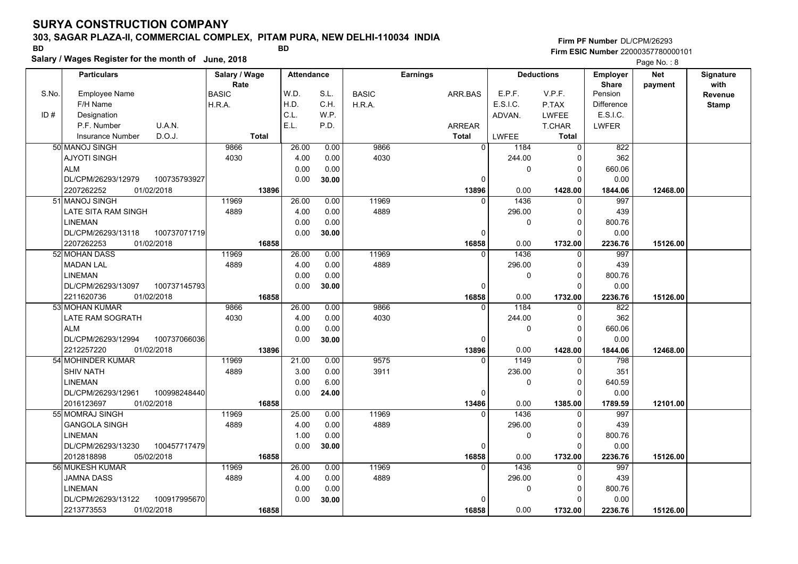### **303, SAGAR PLAZA-II, COMMERCIAL COMPLEX, PITAM PURA, NEW DELHI-110034 INDIA**

**Salary / Wages Register for the month of June, 2018 BD BD**

### **Firm PF Number**DL/CPM/26293**Firm ESIC Number** 22000357780000101

|       | <b>Particulars</b>                 |              | Salary / Wage        |              | <b>Attendance</b> |              |              | <b>Earnings</b> |                          | <b>Deductions</b>    | <b>Employer</b>         | Net      | Signature |
|-------|------------------------------------|--------------|----------------------|--------------|-------------------|--------------|--------------|-----------------|--------------------------|----------------------|-------------------------|----------|-----------|
| S.No. | <b>Employee Name</b>               |              | Rate<br><b>BASIC</b> |              | W.D.              | S.L.         | <b>BASIC</b> | ARR.BAS         | E.P.F.                   | V.P.F.               | <b>Share</b><br>Pension | payment  | with      |
|       | F/H Name                           |              | H.R.A.               |              | H.D.              | C.H.         | H.R.A.       |                 | E.S.I.C.                 | P.TAX                | <b>Difference</b>       |          | Revenue   |
| ID#   | Designation                        |              |                      |              | C.L.              | W.P.         |              |                 | ADVAN.                   | LWFEE                | E.S.I.C.                |          | Stamp     |
|       | P.F. Number                        | U.A.N.       |                      |              | E.L.              | P.D.         |              | <b>ARREAR</b>   |                          | <b>T.CHAR</b>        | LWFER                   |          |           |
|       | <b>Insurance Number</b>            | D.O.J.       |                      | <b>Total</b> |                   |              |              | <b>Total</b>    | LWFEE                    | <b>Total</b>         |                         |          |           |
|       |                                    |              |                      |              |                   |              |              |                 | $\overline{0}$           |                      |                         |          |           |
|       | 50 MANOJ SINGH                     |              | 9866                 |              | 26.00             | 0.00         | 9866         |                 | 1184                     | $\Omega$             | 822                     |          |           |
|       | <b>AJYOTI SINGH</b>                |              | 4030                 |              | 4.00              | 0.00         | 4030         |                 | 244.00                   | O                    | 362                     |          |           |
|       | <b>ALM</b>                         |              |                      |              | 0.00              | 0.00         |              |                 | 0                        | $\Omega$             | 660.06                  |          |           |
|       | DL/CPM/26293/12979                 | 100735793927 |                      |              | 0.00              | 30.00        |              |                 | 0                        | ŋ                    | 0.00                    |          |           |
|       | 2207262252                         | 01/02/2018   | 11969                | 13896        |                   |              |              | 13896           | 0.00<br>1436<br>$\Omega$ | 1428.00<br>$\Omega$  | 1844.06                 | 12468.00 |           |
|       | 51 MANOJ SINGH                     |              |                      |              | 26.00             | 0.00         | 11969        |                 |                          |                      | 997                     |          |           |
|       | LATE SITA RAM SINGH                |              | 4889                 |              | 4.00              | 0.00         | 4889         |                 | 296.00                   | $\Omega$             | 439                     |          |           |
|       | <b>LINEMAN</b>                     |              |                      |              | 0.00              | 0.00         |              |                 | 0                        | 0                    | 800.76                  |          |           |
|       | DL/CPM/26293/13118                 | 100737071719 |                      |              | 0.00              | 30.00        |              |                 | $\Omega$                 | $\Omega$             | 0.00                    |          |           |
|       | 2207262253                         | 01/02/2018   |                      | 16858        |                   |              |              | 16858           | 0.00<br>$\Omega$         | 1732.00              | 2236.76                 | 15126.00 |           |
|       | 52 MOHAN DASS                      |              | 11969                |              | 26.00             | 0.00         | 11969        |                 | 1436                     | $\Omega$             | 997                     |          |           |
|       | <b>MADAN LAL</b>                   |              | 4889                 |              | 4.00              | 0.00         | 4889         |                 | 296.00                   | $\Omega$<br>$\Omega$ | 439                     |          |           |
|       | <b>LINEMAN</b>                     |              |                      |              | 0.00              | 0.00         |              |                 | 0                        |                      | 800.76                  |          |           |
|       | DL/CPM/26293/13097                 | 100737145793 |                      |              | 0.00              | 30.00        |              |                 | $\Omega$                 | $\Omega$             | 0.00                    |          |           |
|       | 2211620736                         | 01/02/2018   |                      | 16858        | 26.00             |              | 9866         | 16858           | 0.00<br>1184<br>O        | 1732.00              | 2236.76<br>822          | 15126.00 |           |
|       | 53 MOHAN KUMAR                     |              | 9866                 |              |                   | 0.00         | 4030         |                 |                          | 0<br>$\Omega$        | 362                     |          |           |
|       | LATE RAM SOGRATH<br><b>ALM</b>     |              | 4030                 |              | 4.00              | 0.00         |              |                 | 244.00<br>$\mathbf 0$    | $\Omega$             |                         |          |           |
|       |                                    |              |                      |              | 0.00              | 0.00         |              |                 |                          | $\Omega$             | 660.06                  |          |           |
|       | DL/CPM/26293/12994                 | 100737066036 |                      |              | 0.00              | 30.00        |              |                 | $\Omega$                 |                      | 0.00                    |          |           |
|       | 2212257220<br>54 MOHINDER KUMAR    | 01/02/2018   | 11969                | 13896        | 21.00             | 0.00         | 9575         | 13896           | 0.00<br>1149<br>$\Omega$ | 1428.00<br>$\Omega$  | 1844.06<br>798          | 12468.00 |           |
|       |                                    |              |                      |              | 3.00              |              | 3911         |                 |                          | $\Omega$             | 351                     |          |           |
|       | <b>SHIV NATH</b><br><b>LINEMAN</b> |              | 4889                 |              | 0.00              | 0.00<br>6.00 |              |                 | 236.00<br>0              | $\Omega$             | 640.59                  |          |           |
|       | DL/CPM/26293/12961                 | 100998248440 |                      |              | 0.00              |              |              |                 | $\Omega$                 | $\Omega$             | 0.00                    |          |           |
|       |                                    | 01/02/2018   |                      |              |                   | 24.00        |              |                 | 0.00                     |                      |                         |          |           |
|       | 2016123697<br>55l MOMRAJ SINGH     |              | 11969                | 16858        | 25.00             | 0.00         | 11969        | 13486           | 1436<br>$\Omega$         | 1385.00<br>$\Omega$  | 1789.59<br>997          | 12101.00 |           |
|       | GANGOLA SINGH                      |              | 4889                 |              | 4.00              | 0.00         | 4889         |                 | 296.00                   | $\Omega$             | 439                     |          |           |
|       |                                    |              |                      |              | 1.00              | 0.00         |              |                 |                          | 0                    | 800.76                  |          |           |
|       | <b>LINEMAN</b>                     | 100457717479 |                      |              |                   |              |              |                 | 0                        | $\Omega$             |                         |          |           |
|       | DL/CPM/26293/13230<br>2012818898   | 05/02/2018   |                      |              | 0.00              | 30.00        |              |                 | $\Omega$                 |                      | 0.00                    |          |           |
|       | <b>56 MUKESH KUMAR</b>             |              | 11969                | 16858        | 26.00             | 0.00         | 11969        | 16858           | 0.00<br>1436<br>$\Omega$ | 1732.00<br>$\Omega$  | 2236.76<br>997          | 15126.00 |           |
|       |                                    |              | 4889                 |              | 4.00              | 0.00         | 4889         |                 | 296.00                   | $\Omega$             | 439                     |          |           |
|       | JAMNA DASS                         |              |                      |              |                   |              |              |                 |                          |                      |                         |          |           |
|       | <b>LINEMAN</b>                     |              |                      |              | 0.00              | 0.00         |              |                 | 0                        | 0<br>$\Omega$        | 800.76                  |          |           |
|       | DL/CPM/26293/13122                 | 100917995670 |                      |              | 0.00              | 30.00        |              |                 |                          |                      | 0.00                    |          |           |
|       | 2213773553                         | 01/02/2018   |                      | 16858        |                   |              |              | 16858           | 0.00                     | 1732.00              | 2236.76                 | 15126.00 |           |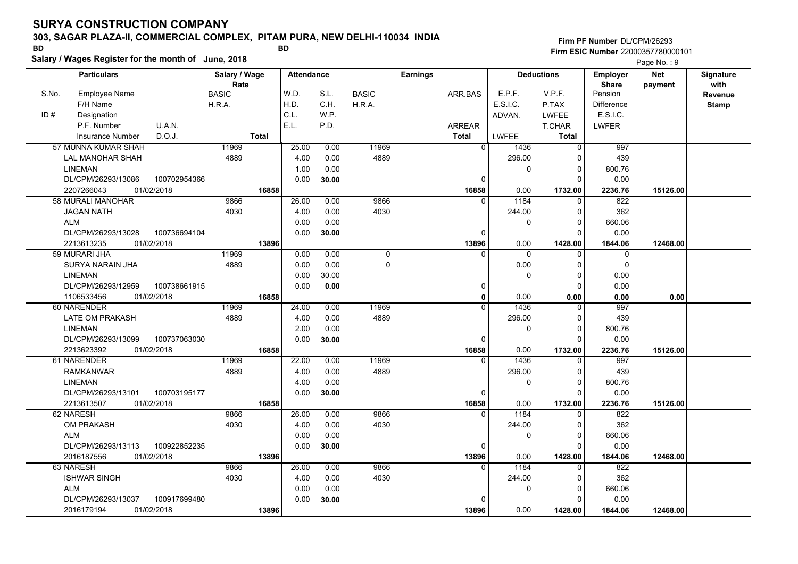### **303, SAGAR PLAZA-II, COMMERCIAL COMPLEX, PITAM PURA, NEW DELHI-110034 INDIA**

**Salary / Wages Register for the month of June, 2018 BD BD**

### **Firm PF Number**DL/CPM/26293**Firm ESIC Number** 22000357780000101

|       | <b>Particulars</b>                 | Salary / Wage |              | <b>Attendance</b> |       |              | <b>Earnings</b> |                  | <b>Deductions</b> | Employer                | <b>Net</b> | Signature       |
|-------|------------------------------------|---------------|--------------|-------------------|-------|--------------|-----------------|------------------|-------------------|-------------------------|------------|-----------------|
| S.No. | <b>Employee Name</b>               | <b>BASIC</b>  | Rate         | W.D.              | S.L.  | <b>BASIC</b> | ARR.BAS         | E.P.F.           | V.P.F.            | <b>Share</b><br>Pension | payment    | with<br>Revenue |
|       | F/H Name                           | H.R.A.        |              | H.D.              | C.H.  | H.R.A.       |                 | E.S.I.C.         | P.TAX             | <b>Difference</b>       |            | <b>Stamp</b>    |
| ID#   | Designation                        |               |              | C.L.              | W.P.  |              |                 | ADVAN.           | <b>LWFEE</b>      | E.S.I.C.                |            |                 |
|       | U.A.N.<br>P.F. Number              |               |              | E.L.              | P.D.  |              | <b>ARREAR</b>   |                  | <b>T.CHAR</b>     | <b>LWFER</b>            |            |                 |
|       | D.O.J.<br><b>Insurance Number</b>  |               | <b>Total</b> |                   |       |              | <b>Total</b>    | <b>LWFEE</b>     | <b>Total</b>      |                         |            |                 |
|       | 57 MUNNA KUMAR SHAH                | 11969         |              | 25.00             | 0.00  | 11969        |                 | $\Omega$<br>1436 | 0                 | 997                     |            |                 |
|       | LAL MANOHAR SHAH                   | 4889          |              | 4.00              | 0.00  | 4889         |                 | 296.00           | 0                 | 439                     |            |                 |
|       | <b>LINEMAN</b>                     |               |              | 1.00              | 0.00  |              |                 | 0                | 0                 | 800.76                  |            |                 |
|       | DL/CPM/26293/13086<br>100702954366 |               |              | 0.00              | 30.00 |              | $\Omega$        |                  | $\Omega$          | 0.00                    |            |                 |
|       | 2207266043<br>01/02/2018           |               | 16858        |                   |       |              | 16858           | 0.00             | 1732.00           | 2236.76                 | 15126.00   |                 |
|       | 58 MURALI MANOHAR                  | 9866          |              | 26.00             | 0.00  | 9866         |                 | 1184<br>$\Omega$ | $\Omega$          | 822                     |            |                 |
|       | <b>JAGAN NATH</b>                  | 4030          |              | 4.00              | 0.00  | 4030         |                 | 244.00           | $\Omega$          | 362                     |            |                 |
|       | <b>ALM</b>                         |               |              | 0.00              | 0.00  |              |                 | $\mathbf{0}$     | $\Omega$          | 660.06                  |            |                 |
|       | DL/CPM/26293/13028<br>100736694104 |               |              | 0.00              | 30.00 |              | 0               |                  | $\Omega$          | 0.00                    |            |                 |
|       | 01/02/2018<br>2213613235           |               | 13896        |                   |       |              | 13896           | 0.00             | 1428.00           | 1844.06                 | 12468.00   |                 |
|       | 59 MURARI JHA                      | 11969         |              | 0.00              | 0.00  | $\mathbf 0$  | $\Omega$        | $\Omega$         | $\Omega$          | $\mathbf 0$             |            |                 |
|       | <b>SURYA NARAIN JHA</b>            | 4889          |              | 0.00              | 0.00  | $\Omega$     |                 | 0.00             | $\Omega$          | $\Omega$                |            |                 |
|       | <b>LINEMAN</b>                     |               |              | 0.00              | 30.00 |              |                 | $\mathbf{0}$     | $\Omega$          | 0.00                    |            |                 |
|       | DL/CPM/26293/12959<br>100738661915 |               |              | 0.00              | 0.00  |              | 0               |                  | $\Omega$          | 0.00                    |            |                 |
|       | 1106533456<br>01/02/2018           |               | 16858        |                   |       |              | $\mathbf 0$     | 0.00             | 0.00              | 0.00                    | 0.00       |                 |
|       | 60 NARENDER                        | 11969         |              | 24.00             | 0.00  | 11969        | $\Omega$        | 1436             | $\Omega$          | 997                     |            |                 |
|       | <b>LATE OM PRAKASH</b>             | 4889          |              | 4.00              | 0.00  | 4889         |                 | 296.00           | $\Omega$          | 439                     |            |                 |
|       | <b>LINEMAN</b>                     |               |              | 2.00              | 0.00  |              |                 | 0                | $\Omega$          | 800.76                  |            |                 |
|       | DL/CPM/26293/13099<br>100737063030 |               |              | 0.00              | 30.00 |              | $\Omega$        |                  | $\Omega$          | 0.00                    |            |                 |
|       | 2213623392<br>01/02/2018           |               | 16858        |                   |       |              | 16858           | 0.00             | 1732.00           | 2236.76                 | 15126.00   |                 |
|       | 61 NARENDER                        | 11969         |              | 22.00             | 0.00  | 11969        |                 | 1436<br>$\Omega$ | $\Omega$          | 997                     |            |                 |
|       | <b>RAMKANWAR</b>                   | 4889          |              | 4.00              | 0.00  | 4889         |                 | 296.00           | $\Omega$          | 439                     |            |                 |
|       | <b>LINEMAN</b>                     |               |              | 4.00              | 0.00  |              |                 | $\mathbf 0$      | $\mathbf 0$       | 800.76                  |            |                 |
|       | DL/CPM/26293/13101<br>100703195177 |               |              | 0.00              | 30.00 |              | $\mathbf 0$     |                  | $\Omega$          | 0.00                    |            |                 |
|       | 2213613507<br>01/02/2018           |               | 16858        |                   |       |              | 16858           | 0.00             | 1732.00           | 2236.76                 | 15126.00   |                 |
|       | 62 NARESH                          | 9866          |              | 26.00             | 0.00  | 9866         |                 | 1184             | $\Omega$          | 822                     |            |                 |
|       | OM PRAKASH                         | 4030          |              | 4.00              | 0.00  | 4030         |                 | 244.00           | 0                 | 362                     |            |                 |
|       | <b>ALM</b>                         |               |              | 0.00              | 0.00  |              |                 | $\Omega$         | $\Omega$          | 660.06                  |            |                 |
|       | DL/CPM/26293/13113<br>100922852235 |               |              | 0.00              | 30.00 |              | $\Omega$        |                  | $\Omega$          | 0.00                    |            |                 |
|       | 01/02/2018<br>2016187556           |               | 13896        |                   |       |              | 13896           | 0.00             | 1428.00           | 1844.06                 | 12468.00   |                 |
|       | 63 NARESH                          | 9866          |              | 26.00             | 0.00  | 9866         |                 | 1184<br>$\Omega$ | $\Omega$          | 822                     |            |                 |
|       | <b>ISHWAR SINGH</b>                | 4030          |              | 4.00              | 0.00  | 4030         |                 | 244.00           | 0                 | 362                     |            |                 |
|       | <b>ALM</b>                         |               |              | 0.00              | 0.00  |              |                 | 0                | $\Omega$          | 660.06                  |            |                 |
|       | DL/CPM/26293/13037<br>100917699480 |               |              | 0.00              | 30.00 |              | 0               |                  | $\Omega$          | 0.00                    |            |                 |
|       | 2016179194<br>01/02/2018           |               | 13896        |                   |       |              | 13896           | 0.00             | 1428.00           | 1844.06                 | 12468.00   |                 |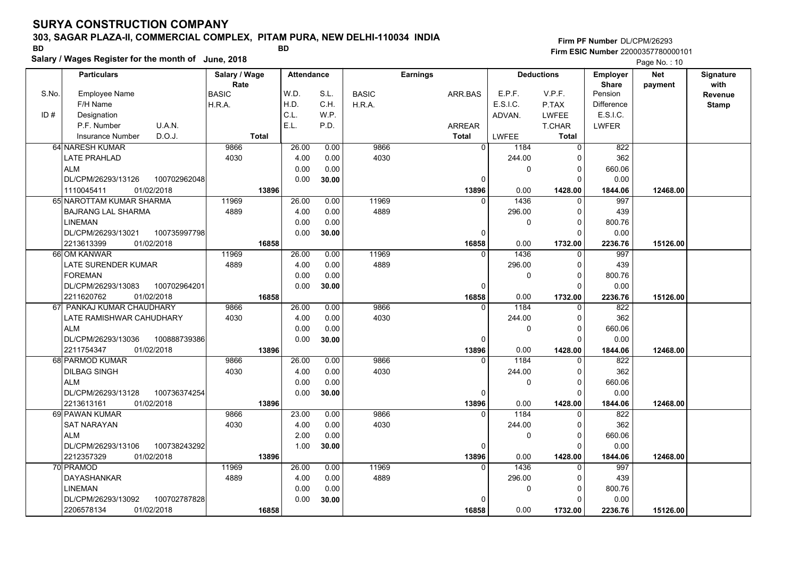### **303, SAGAR PLAZA-II, COMMERCIAL COMPLEX, PITAM PURA, NEW DELHI-110034 INDIA**

**Salary / Wages Register for the month of June, 2018 BD BD Firm PF Number**DL/CPM/26293**Firm ESIC Number** 22000357780000101

|       | Salary / Wages Register for the month of June, 2018 |               |       |                   |       |              |                 |              |          |                   |                 | Page No.: 10 |                  |
|-------|-----------------------------------------------------|---------------|-------|-------------------|-------|--------------|-----------------|--------------|----------|-------------------|-----------------|--------------|------------------|
|       | <b>Particulars</b>                                  | Salary / Wage |       | <b>Attendance</b> |       |              | <b>Earnings</b> |              |          | <b>Deductions</b> | <b>Employer</b> | <b>Net</b>   | <b>Signature</b> |
|       |                                                     | Rate          |       |                   |       |              |                 |              |          |                   | <b>Share</b>    | payment      | with             |
| S.No. | Employee Name                                       | <b>BASIC</b>  |       | W.D.              | S.L.  | <b>BASIC</b> |                 | ARR.BAS      | E.P.F.   | V.P.F.            | Pension         |              | Revenue          |
|       | F/H Name                                            | H.R.A.        |       | H.D.              | C.H.  | H.R.A.       |                 |              | E.S.I.C. | P.TAX             | Difference      |              | Stamp            |
| ID#   | Designation                                         |               |       | C.L.              | W.P.  |              |                 |              | ADVAN.   | <b>LWFEE</b>      | E.S.I.C.        |              |                  |
|       | U.A.N.<br>P.F. Number                               |               |       | E.L.              | P.D.  |              |                 | ARREAR       |          | T.CHAR            | <b>LWFER</b>    |              |                  |
|       | D.O.J.<br><b>Insurance Number</b>                   | <b>Total</b>  |       |                   |       |              |                 | <b>Total</b> | LWFEE    | Total             |                 |              |                  |
|       | 64 NARESH KUMAR                                     | 9866          |       | 26.00             | 0.00  | 9866         |                 | $\mathbf{0}$ | 1184     | $\Omega$          | 822             |              |                  |
|       | LATE PRAHLAD                                        | 4030          |       | 4.00              | 0.00  | 4030         |                 |              | 244.00   | $\Omega$          | 362             |              |                  |
|       | ALM                                                 |               |       | 0.00              | 0.00  |              |                 |              | 0        | 0                 | 660.06          |              |                  |
|       | 100702962048<br>DL/CPM/26293/13126                  |               |       | 0.00              | 30.00 |              |                 | 0            |          | $\Omega$          | 0.00            |              |                  |
|       | 01/02/2018<br>1110045411                            |               | 13896 |                   |       |              |                 | 13896        | 0.00     | 1428.00           | 1844.06         | 12468.00     |                  |
|       | 65 NAROTTAM KUMAR SHARMA                            | 11969         |       | 26.00             | 0.00  | 11969        |                 |              | 1436     |                   | 997             |              |                  |
|       | <b>BAJRANG LAL SHARMA</b>                           | 4889          |       | 4.00              | 0.00  | 4889         |                 |              | 296.00   | $\Omega$          | 439             |              |                  |
|       | <b>LINEMAN</b>                                      |               |       | 0.00              | 0.00  |              |                 |              | $\Omega$ | $\Omega$          | 800.76          |              |                  |
|       | DL/CPM/26293/13021<br>100735997798                  |               |       | 0.00              | 30.00 |              |                 | 0            |          | $\Omega$          | 0.00            |              |                  |
|       | 2213613399<br>01/02/2018                            |               | 16858 |                   |       |              |                 | 16858        | 0.00     | 1732.00           | 2236.76         | 15126.00     |                  |
|       | 66 OM KANWAR                                        | 11969         |       | 26.00             | 0.00  | 11969        |                 | $\Omega$     | 1436     | $\Omega$          | 997             |              |                  |
|       | LATE SURENDER KUMAR                                 | 4889          |       | 4.00              | 0.00  | 4889         |                 |              | 296.00   | 0                 | 439             |              |                  |
|       | <b>FOREMAN</b>                                      |               |       | 0.00              | 0.00  |              |                 |              | 0        | $\Omega$          | 800.76          |              |                  |
|       | DL/CPM/26293/13083<br>100702964201                  |               |       | 0.00              | 30.00 |              |                 | 0            |          | $\Omega$          | 0.00            |              |                  |
|       | 2211620762<br>01/02/2018                            |               | 16858 |                   |       |              |                 | 16858        | 0.00     | 1732.00           | 2236.76         | 15126.00     |                  |
| 67    | PANKAJ KUMAR CHAUDHARY                              | 9866          |       | 26.00             | 0.00  | 9866         |                 | $\Omega$     | 1184     | $\Omega$          | 822             |              |                  |
|       | LATE RAMISHWAR CAHUDHARY                            | 4030          |       | 4.00              | 0.00  | 4030         |                 |              | 244.00   | $\Omega$          | 362             |              |                  |
|       | <b>ALM</b>                                          |               |       | 0.00              | 0.00  |              |                 |              | 0        | 0                 | 660.06          |              |                  |
|       | DL/CPM/26293/13036<br>100888739386                  |               |       | 0.00              | 30.00 |              |                 | 0            |          | $\Omega$          | 0.00            |              |                  |
|       | 01/02/2018<br>2211754347                            |               | 13896 |                   |       |              |                 | 13896        | 0.00     | 1428.00           | 1844.06         | 12468.00     |                  |
|       | 68 PARMOD KUMAR                                     | 9866          |       | 26.00             | 0.00  | 9866         |                 |              | 1184     |                   | 822             |              |                  |
|       | <b>DILBAG SINGH</b>                                 | 4030          |       | 4.00              | 0.00  | 4030         |                 |              | 244.00   | $\Omega$          | 362             |              |                  |
|       | <b>ALM</b>                                          |               |       | 0.00              | 0.00  |              |                 |              | $\Omega$ | $\Omega$          | 660.06          |              |                  |
|       | DL/CPM/26293/13128<br>100736374254                  |               |       | 0.00              | 30.00 |              |                 | 0            |          | $\Omega$          | 0.00            |              |                  |
|       | 2213613161<br>01/02/2018                            |               | 13896 |                   |       |              |                 | 13896        | 0.00     | 1428.00           | 1844.06         | 12468.00     |                  |
|       | 69 PAWAN KUMAR                                      | 9866          |       | 23.00             | 0.00  | 9866         |                 | $\mathbf{0}$ | 1184     | $\Omega$          | 822             |              |                  |
|       | <b>SAT NARAYAN</b>                                  | 4030          |       | 4.00              | 0.00  | 4030         |                 |              | 244.00   | $\Omega$          | 362             |              |                  |
|       | <b>ALM</b>                                          |               |       | 2.00              | 0.00  |              |                 |              | 0        | $\Omega$          | 660.06          |              |                  |
|       | DL/CPM/26293/13106<br>100738243292                  |               |       | 1.00              | 30.00 |              |                 | 0            |          | $\Omega$          | 0.00            |              |                  |
|       | 2212357329<br>01/02/2018                            |               | 13896 |                   |       |              |                 | 13896        | 0.00     | 1428.00           | 1844.06         | 12468.00     |                  |
|       | 70 PRAMOD                                           | 11969         |       | 26.00             | 0.00  | 11969        |                 | $\Omega$     | 1436     | $\Omega$          | 997             |              |                  |
|       | <b>DAYASHANKAR</b>                                  | 4889          |       | 4.00              | 0.00  | 4889         |                 |              | 296.00   | $\Omega$          | 439             |              |                  |
|       | <b>LINEMAN</b>                                      |               |       | 0.00              | 0.00  |              |                 |              | 0        | 0                 | 800.76          |              |                  |
|       | DL/CPM/26293/13092<br>100702787828                  |               |       | 0.00              | 30.00 |              |                 | $\Omega$     |          | $\Omega$          | 0.00            |              |                  |
|       | 2206578134<br>01/02/2018                            |               | 16858 |                   |       |              |                 | 16858        | 0.00     | 1732.00           | 2236.76         | 15126.00     |                  |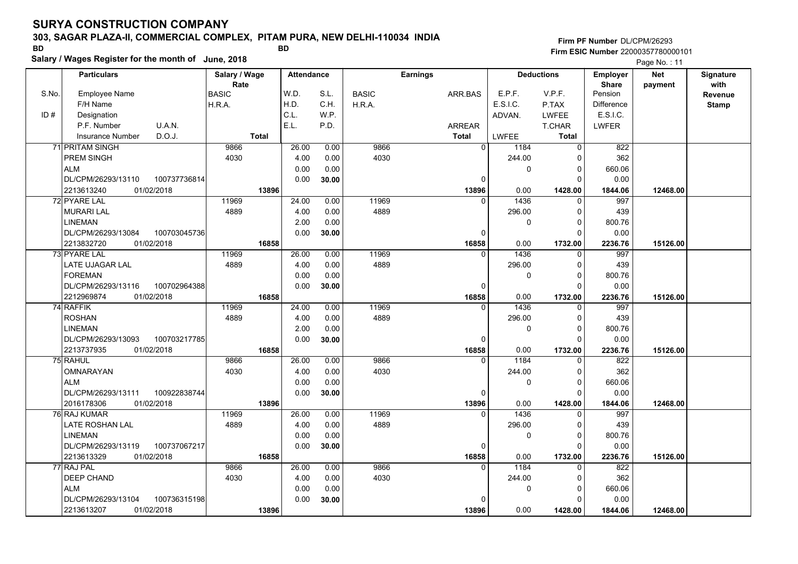### **303, SAGAR PLAZA-II, COMMERCIAL COMPLEX, PITAM PURA, NEW DELHI-110034 INDIA**

**Salary / Wages Register for the month of June, 2018 BD BD**

### **Firm PF Number**DL/CPM/26293**Firm ESIC Number** 22000357780000101

|       | <b>Particulars</b>       |              | Salary / Wage |              | <b>Attendance</b> |       |              | <b>Earnings</b> |               |          | <b>Deductions</b> | <b>Employer</b>   | <b>Net</b> | Signature    |
|-------|--------------------------|--------------|---------------|--------------|-------------------|-------|--------------|-----------------|---------------|----------|-------------------|-------------------|------------|--------------|
|       |                          |              | Rate          |              |                   |       |              |                 |               |          |                   | <b>Share</b>      | payment    | with         |
| S.No. | <b>Employee Name</b>     |              | BASIC         |              | W.D.              | S.L.  | <b>BASIC</b> |                 | ARR.BAS       | E.P.F.   | V.P.F.            | Pension           |            | Revenue      |
|       | F/H Name                 |              | H.R.A.        |              | H.D.              | C.H.  | H.R.A.       |                 |               | E.S.I.C. | P.TAX             | <b>Difference</b> |            | <b>Stamp</b> |
| ID#   | Designation              |              |               |              | C.L.              | W.P.  |              |                 |               | ADVAN.   | <b>LWFEE</b>      | E.S.I.C.          |            |              |
|       | P.F. Number              | U.A.N.       |               |              | E.L.              | P.D.  |              |                 | <b>ARREAR</b> |          | T.CHAR            | <b>LWFER</b>      |            |              |
|       | <b>Insurance Number</b>  | D.O.J.       |               | <b>Total</b> |                   |       |              |                 | <b>Total</b>  | LWFEE    | Total             |                   |            |              |
|       | 71 PRITAM SINGH          |              | 9866          |              | 26.00             | 0.00  | 9866         |                 | $\Omega$      | 1184     | $\Omega$          | 822               |            |              |
|       | PREM SINGH               |              | 4030          |              | 4.00              | 0.00  | 4030         |                 |               | 244.00   | $\Omega$          | 362               |            |              |
|       | <b>ALM</b>               |              |               |              | 0.00              | 0.00  |              |                 |               | 0        | 0                 | 660.06            |            |              |
|       | DL/CPM/26293/13110       | 100737736814 |               |              | 0.00              | 30.00 |              |                 | 0             |          | $\Omega$          | 0.00              |            |              |
|       | 01/02/2018<br>2213613240 |              |               | 13896        |                   |       |              |                 | 13896         | 0.00     | 1428.00           | 1844.06           | 12468.00   |              |
|       | 72 PYARE LAL             |              | 11969         |              | 24.00             | 0.00  | 11969        |                 | $\Omega$      | 1436     | $\Omega$          | 997               |            |              |
|       | <b>MURARI LAL</b>        |              | 4889          |              | 4.00              | 0.00  | 4889         |                 |               | 296.00   | $\Omega$          | 439               |            |              |
|       | <b>LINEMAN</b>           |              |               |              | 2.00              | 0.00  |              |                 |               | $\Omega$ | $\mathbf 0$       | 800.76            |            |              |
|       | DL/CPM/26293/13084       | 100703045736 |               |              | 0.00              | 30.00 |              |                 | 0             |          | $\Omega$          | 0.00              |            |              |
|       | 01/02/2018<br>2213832720 |              |               | 16858        |                   |       |              |                 | 16858         | 0.00     | 1732.00           | 2236.76           | 15126.00   |              |
|       | 73 PYARE LAL             |              | 11969         |              | 26.00             | 0.00  | 11969        |                 | $\Omega$      | 1436     | $\Omega$          | 997               |            |              |
|       | LATE UJAGAR LAL          |              | 4889          |              | 4.00              | 0.00  | 4889         |                 |               | 296.00   | $\Omega$          | 439               |            |              |
|       | <b>FOREMAN</b>           |              |               |              | 0.00              | 0.00  |              |                 |               | $\Omega$ | $\Omega$          | 800.76            |            |              |
|       | DL/CPM/26293/13116       | 100702964388 |               |              | 0.00              | 30.00 |              |                 | 0             |          | $\Omega$          | 0.00              |            |              |
|       | 2212969874<br>01/02/2018 |              |               | 16858        |                   |       |              |                 | 16858         | 0.00     | 1732.00           | 2236.76           | 15126.00   |              |
|       | 74 RAFFIK                |              | 11969         |              | 24.00             | 0.00  | 11969        |                 | 0             | 1436     | 0                 | 997               |            |              |
|       | <b>ROSHAN</b>            |              | 4889          |              | 4.00              | 0.00  | 4889         |                 |               | 296.00   | 0                 | 439               |            |              |
|       | <b>LINEMAN</b>           |              |               |              | 2.00              | 0.00  |              |                 |               | $\Omega$ | $\Omega$          | 800.76            |            |              |
|       | DL/CPM/26293/13093       | 100703217785 |               |              | 0.00              | 30.00 |              |                 | 0             |          | $\Omega$          | 0.00              |            |              |
|       | 01/02/2018<br>2213737935 |              |               | 16858        |                   |       |              |                 | 16858         | 0.00     | 1732.00           | 2236.76           | 15126.00   |              |
|       | 75 RAHUL                 |              | 9866          |              | 26.00             | 0.00  | 9866         |                 | $\Omega$      | 1184     | $\Omega$          | 822               |            |              |
|       | OMNARAYAN                |              | 4030          |              | 4.00              | 0.00  | 4030         |                 |               | 244.00   | $\Omega$          | 362               |            |              |
|       | <b>ALM</b>               |              |               |              | 0.00              | 0.00  |              |                 |               | 0        | $\Omega$          | 660.06            |            |              |
|       | DL/CPM/26293/13111       | 100922838744 |               |              | 0.00              | 30.00 |              |                 | $\Omega$      |          | $\Omega$          | 0.00              |            |              |
|       | 2016178306<br>01/02/2018 |              |               | 13896        |                   |       |              |                 | 13896         | 0.00     | 1428.00           | 1844.06           | 12468.00   |              |
|       | 76 RAJ KUMAR             |              | 11969         |              | 26.00             | 0.00  | 11969        |                 | $\Omega$      | 1436     | $\Omega$          | 997               |            |              |
|       | LATE ROSHAN LAL          |              | 4889          |              | 4.00              | 0.00  | 4889         |                 |               | 296.00   | 0                 | 439               |            |              |
|       | <b>LINEMAN</b>           |              |               |              | 0.00              | 0.00  |              |                 |               | 0        | 0                 | 800.76            |            |              |
|       | DL/CPM/26293/13119       | 100737067217 |               |              | 0.00              | 30.00 |              |                 | $\Omega$      |          | $\Omega$          | 0.00              |            |              |
|       | 2213613329<br>01/02/2018 |              |               | 16858        |                   |       |              |                 | 16858         | 0.00     | 1732.00           | 2236.76           | 15126.00   |              |
|       | 77 RAJ PAL               |              | 9866          |              | 26.00             | 0.00  | 9866         |                 | $\Omega$      | 1184     | $\Omega$          | 822               |            |              |
|       | DEEP CHAND               |              | 4030          |              | 4.00              | 0.00  | 4030         |                 |               | 244.00   | $\Omega$          | 362               |            |              |
|       | <b>ALM</b>               |              |               |              | 0.00              | 0.00  |              |                 |               | 0        | $\Omega$          | 660.06            |            |              |
|       | DL/CPM/26293/13104       | 100736315198 |               |              | 0.00              | 30.00 |              |                 | 0             |          | $\Omega$          | 0.00              |            |              |
|       | 01/02/2018<br>2213613207 |              |               | 13896        |                   |       |              |                 | 13896         | 0.00     | 1428.00           | 1844.06           | 12468.00   |              |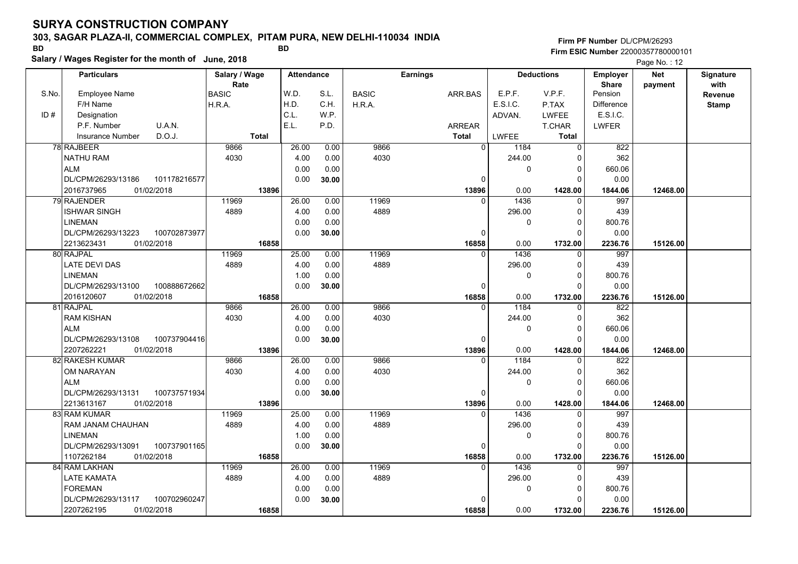### **303, SAGAR PLAZA-II, COMMERCIAL COMPLEX, PITAM PURA, NEW DELHI-110034 INDIA**

**Salary / Wages Register for the month of June, 2018 BD BD**

**Firm PF Number**DL/CPM/26293**Firm ESIC Number** 22000357780000101

|       | <b>Particulars</b>                 | Salary / Wage        | <b>Attendance</b> |       |              | <b>Earnings</b> |              | <b>Deductions</b> | <b>Employer</b>   | <b>Net</b> | Signature       |
|-------|------------------------------------|----------------------|-------------------|-------|--------------|-----------------|--------------|-------------------|-------------------|------------|-----------------|
| S.No. | Employee Name                      | Rate<br><b>BASIC</b> | W.D.              | S.L.  | <b>BASIC</b> | ARR BAS         | E.P.F.       | V.P.F.            | Share<br>Pension  | payment    | with<br>Revenue |
|       | F/H Name                           | H.R.A.               | H.D.              | C.H.  | H.R.A.       |                 | E.S.I.C.     | P.TAX             | <b>Difference</b> |            | <b>Stamp</b>    |
| ID#   | Designation                        |                      | C.L.              | W.P.  |              |                 | ADVAN.       | <b>LWFEE</b>      | E.S.I.C.          |            |                 |
|       | U.A.N.<br>P.F. Number              |                      | E.L.              | P.D.  |              | ARREAR          |              | <b>T.CHAR</b>     | <b>LWFER</b>      |            |                 |
|       | D.O.J.<br><b>Insurance Number</b>  | <b>Total</b>         |                   |       |              | <b>Total</b>    | <b>LWFEE</b> | Total             |                   |            |                 |
|       | 78 RAJBEER                         | 9866                 | 26.00             | 0.00  | 9866         | $\mathbf 0$     | 1184         | $\overline{0}$    | 822               |            |                 |
|       | <b>NATHU RAM</b>                   | 4030                 | 4.00              | 0.00  | 4030         |                 | 244.00       | $\Omega$          | 362               |            |                 |
|       | <b>ALM</b>                         |                      | 0.00              | 0.00  |              |                 | 0            | 0                 | 660.06            |            |                 |
|       | DL/CPM/26293/13186<br>101178216577 |                      | 0.00              | 30.00 |              | 0               |              | $\Omega$          | 0.00              |            |                 |
|       | 2016737965<br>01/02/2018           | 13896                |                   |       |              | 13896           | 0.00         | 1428.00           | 1844.06           | 12468.00   |                 |
|       | 79 RAJENDER                        | 11969                | 26.00             | 0.00  | 11969        | $\Omega$        | 1436         | $\Omega$          | 997               |            |                 |
|       | <b>ISHWAR SINGH</b>                | 4889                 | 4.00              | 0.00  | 4889         |                 | 296.00       | 0                 | 439               |            |                 |
|       | <b>LINEMAN</b>                     |                      | 0.00              | 0.00  |              |                 | 0            | $\Omega$          | 800.76            |            |                 |
|       | DL/CPM/26293/13223<br>100702873977 |                      | 0.00              | 30.00 |              | 0               |              | $\Omega$          | 0.00              |            |                 |
|       | 2213623431<br>01/02/2018           | 16858                |                   |       |              | 16858           | 0.00         | 1732.00           | 2236.76           | 15126.00   |                 |
|       | 80 RAJPAL                          | 11969                | 25.00             | 0.00  | 11969        | $\Omega$        | 1436         | $\mathbf{0}$      | 997               |            |                 |
|       | <b>LATE DEVI DAS</b>               | 4889                 | 4.00              | 0.00  | 4889         |                 | 296.00       | 0                 | 439               |            |                 |
|       | <b>LINEMAN</b>                     |                      | 1.00              | 0.00  |              |                 | 0            | $\Omega$          | 800.76            |            |                 |
|       | DL/CPM/26293/13100<br>100888672662 |                      | 0.00              | 30.00 |              | $\Omega$        |              | $\Omega$          | 0.00              |            |                 |
|       | 2016120607<br>01/02/2018           | 16858                |                   |       |              | 16858           | 0.00         | 1732.00           | 2236.76           | 15126.00   |                 |
|       | 81 RAJPAL                          | 9866                 | 26.00             | 0.00  | 9866         | $\Omega$        | 1184         | 0                 | 822               |            |                 |
|       | <b>RAM KISHAN</b>                  | 4030                 | 4.00              | 0.00  | 4030         |                 | 244.00       | $\Omega$          | 362               |            |                 |
|       | <b>ALM</b>                         |                      | 0.00              | 0.00  |              |                 | $\Omega$     | $\Omega$          | 660.06            |            |                 |
|       | DL/CPM/26293/13108<br>100737904416 |                      | 0.00              | 30.00 |              | $\Omega$        |              | $\Omega$          | 0.00              |            |                 |
|       | 2207262221<br>01/02/2018           | 13896                |                   |       |              | 13896           | 0.00         | 1428.00           | 1844.06           | 12468.00   |                 |
|       | 82 RAKESH KUMAR                    | 9866                 | 26.00             | 0.00  | 9866         | $\Omega$        | 1184         | $\Omega$          | 822               |            |                 |
|       | OM NARAYAN                         | 4030                 | 4.00              | 0.00  | 4030         |                 | 244.00       | 0                 | 362               |            |                 |
|       | <b>ALM</b>                         |                      | 0.00              | 0.00  |              |                 | $\Omega$     | $\mathbf 0$       | 660.06            |            |                 |
|       | 100737571934<br>DL/CPM/26293/13131 |                      | 0.00              | 30.00 |              | 0               |              | $\Omega$          | 0.00              |            |                 |
|       | 2213613167<br>01/02/2018           | 13896                |                   |       |              | 13896           | 0.00         | 1428.00           | 1844.06           | 12468.00   |                 |
|       | 83 RAM KUMAR                       | 11969                | 25.00             | 0.00  | 11969        | $\Omega$        | 1436         | $\mathbf 0$       | 997               |            |                 |
|       | <b>RAM JANAM CHAUHAN</b>           | 4889                 | 4.00              | 0.00  | 4889         |                 | 296.00       | $\Omega$          | 439               |            |                 |
|       | <b>LINEMAN</b>                     |                      | 1.00              | 0.00  |              |                 | $\pmb{0}$    | $\mathbf 0$       | 800.76            |            |                 |
|       | DL/CPM/26293/13091<br>100737901165 |                      | 0.00              | 30.00 |              | 0               |              | $\Omega$          | 0.00              |            |                 |
|       | 01/02/2018<br>1107262184           | 16858                |                   |       |              | 16858           | 0.00         | 1732.00           | 2236.76           | 15126.00   |                 |
|       | 84 RAM LAKHAN                      | 11969                | 26.00             | 0.00  | 11969        | $\Omega$        | 1436         | $\Omega$          | 997               |            |                 |
|       | <b>LATE KAMATA</b>                 | 4889                 | 4.00              | 0.00  | 4889         |                 | 296.00       | $\Omega$          | 439               |            |                 |
|       | <b>FOREMAN</b>                     |                      | 0.00              | 0.00  |              |                 | 0            | 0                 | 800.76            |            |                 |
|       | 100702960247<br>DL/CPM/26293/13117 |                      | 0.00              | 30.00 |              | 0               |              | $\Omega$          | 0.00              |            |                 |
|       | 01/02/2018<br>2207262195           | 16858                |                   |       |              | 16858           | 0.00         | 1732.00           | 2236.76           | 15126.00   |                 |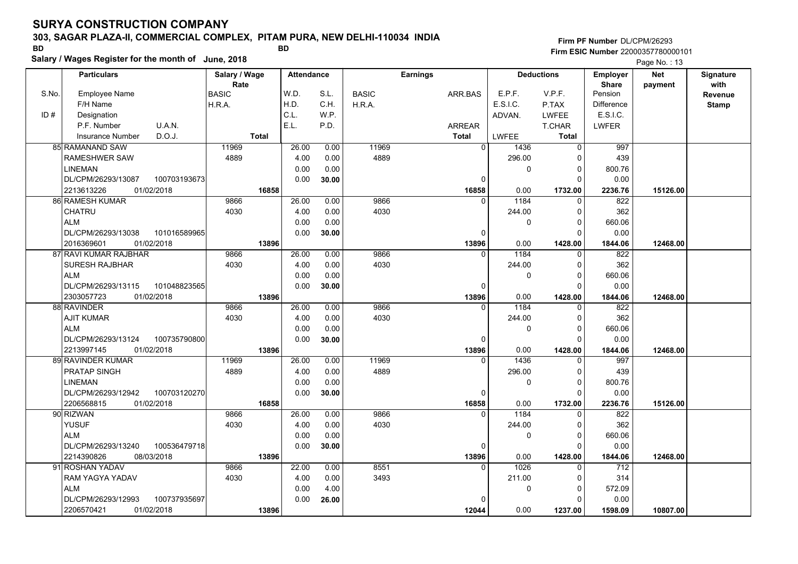### **303, SAGAR PLAZA-II, COMMERCIAL COMPLEX, PITAM PURA, NEW DELHI-110034 INDIA**

#### **Salary / Wages Register for the month of June, 2018 BD BD Firm PF Number**DL/CPM/26293**Firm ESIC Number** 22000357780000101

|       | <b>Particulars</b>                 | Salary / Wage        | <b>Attendance</b> |       |              | <b>Earnings</b> |                | <b>Deductions</b> |               | <b>Employer</b>         | <b>Net</b> | Signature       |
|-------|------------------------------------|----------------------|-------------------|-------|--------------|-----------------|----------------|-------------------|---------------|-------------------------|------------|-----------------|
| S.No. | Employee Name                      | Rate<br><b>BASIC</b> | W.D.              | S.L.  | <b>BASIC</b> | ARR.BAS         |                | E.P.F.            | V.P.F.        | <b>Share</b><br>Pension | payment    | with<br>Revenue |
|       | F/H Name                           | H.R.A.               | H.D.              | C.H.  | H.R.A.       |                 |                | E.S.I.C.          | P.TAX         | <b>Difference</b>       |            | <b>Stamp</b>    |
| ID#   | Designation                        |                      | C.L.              | W.P.  |              |                 |                | ADVAN.            | <b>LWFEE</b>  | E.S.I.C.                |            |                 |
|       | U.A.N.<br>P.F. Number              |                      | E.L.              | P.D.  |              | ARREAR          |                |                   | <b>T.CHAR</b> | <b>LWFER</b>            |            |                 |
|       | D.O.J.<br><b>Insurance Number</b>  | <b>Total</b>         |                   |       |              | <b>Total</b>    |                | <b>LWFEE</b>      | <b>Total</b>  |                         |            |                 |
|       | <b>85 RAMANAND SAW</b>             | 11969                | 26.00             | 0.00  | 11969        |                 | $\overline{0}$ | 1436              | $\mathbf 0$   | 997                     |            |                 |
|       | <b>RAMESHWER SAW</b>               | 4889                 | 4.00              | 0.00  | 4889         |                 |                | 296.00            | 0             | 439                     |            |                 |
|       | <b>LINEMAN</b>                     |                      | 0.00              | 0.00  |              |                 |                | 0                 | $\mathbf 0$   | 800.76                  |            |                 |
|       | DL/CPM/26293/13087<br>100703193673 |                      | 0.00              | 30.00 |              |                 | 0              |                   | $\Omega$      | 0.00                    |            |                 |
|       | 01/02/2018<br>2213613226           | 16858                |                   |       |              |                 | 16858          | 0.00              | 1732.00       | 2236.76                 | 15126.00   |                 |
|       | 86 RAMESH KUMAR                    | 9866                 | 26.00             | 0.00  | 9866         |                 | $\Omega$       | 1184              | $\mathbf 0$   | 822                     |            |                 |
|       | CHATRU                             | 4030                 | 4.00              | 0.00  | 4030         |                 |                | 244.00            | 0             | 362                     |            |                 |
|       | <b>ALM</b>                         |                      | 0.00              | 0.00  |              |                 |                | 0                 | $\mathbf 0$   | 660.06                  |            |                 |
|       | DL/CPM/26293/13038<br>101016589965 |                      | 0.00              | 30.00 |              |                 | $\Omega$       |                   | $\Omega$      | 0.00                    |            |                 |
|       | 2016369601<br>01/02/2018           | 13896                |                   |       |              |                 | 13896          | 0.00              | 1428.00       | 1844.06                 | 12468.00   |                 |
|       | 87 RAVI KUMAR RAJBHAR              | 9866                 | 26.00             | 0.00  | 9866         |                 | $\Omega$       | 1184              | 0             | 822                     |            |                 |
|       | <b>SURESH RAJBHAR</b>              | 4030                 | 4.00              | 0.00  | 4030         |                 |                | 244.00            | $\Omega$      | 362                     |            |                 |
|       | <b>ALM</b>                         |                      | 0.00              | 0.00  |              |                 |                | 0                 | $\Omega$      | 660.06                  |            |                 |
|       | DL/CPM/26293/13115<br>101048823565 |                      | 0.00              | 30.00 |              |                 | $\Omega$       |                   | $\Omega$      | 0.00                    |            |                 |
|       | 2303057723<br>01/02/2018           | 13896                |                   |       |              |                 | 13896          | 0.00              | 1428.00       | 1844.06                 | 12468.00   |                 |
|       | 88 RAVINDER                        | 9866                 | 26.00             | 0.00  | 9866         |                 | $\Omega$       | 1184              | $\mathbf 0$   | 822                     |            |                 |
|       | <b>AJIT KUMAR</b>                  | 4030                 | 4.00              | 0.00  | 4030         |                 |                | 244.00            | 0             | 362                     |            |                 |
|       | <b>ALM</b>                         |                      | 0.00              | 0.00  |              |                 |                | 0                 | $\Omega$      | 660.06                  |            |                 |
|       | DL/CPM/26293/13124<br>100735790800 |                      | 0.00              | 30.00 |              |                 | $\Omega$       |                   | $\Omega$      | 0.00                    |            |                 |
|       | 2213997145<br>01/02/2018           | 13896                |                   |       |              |                 | 13896          | 0.00              | 1428.00       | 1844.06                 | 12468.00   |                 |
|       | 89 RAVINDER KUMAR                  | 11969                | 26.00             | 0.00  | 11969        |                 | $\Omega$       | 1436              | $\mathbf 0$   | 997                     |            |                 |
|       | PRATAP SINGH                       | 4889                 | 4.00              | 0.00  | 4889         |                 |                | 296.00            | 0             | 439                     |            |                 |
|       | <b>LINEMAN</b>                     |                      | 0.00              | 0.00  |              |                 |                | 0                 | $\mathbf 0$   | 800.76                  |            |                 |
|       | DL/CPM/26293/12942<br>100703120270 |                      | 0.00              | 30.00 |              |                 | $\Omega$       |                   | $\Omega$      | 0.00                    |            |                 |
|       | 2206568815<br>01/02/2018           | 16858                |                   |       |              |                 | 16858          | 0.00              | 1732.00       | 2236.76                 | 15126.00   |                 |
|       | 90 RIZWAN                          | 9866                 | 26.00             | 0.00  | 9866         |                 |                | 1184              | 0             | 822                     |            |                 |
|       | <b>YUSUF</b>                       | 4030                 | 4.00              | 0.00  | 4030         |                 |                | 244.00            | $\mathbf 0$   | 362                     |            |                 |
|       | <b>ALM</b>                         |                      | 0.00              | 0.00  |              |                 |                | 0                 | $\mathbf 0$   | 660.06                  |            |                 |
|       | DL/CPM/26293/13240<br>100536479718 |                      | 0.00              | 30.00 |              |                 | $\Omega$       |                   | $\Omega$      | 0.00                    |            |                 |
|       | 2214390826<br>08/03/2018           | 13896                |                   |       |              |                 | 13896          | 0.00              | 1428.00       | 1844.06                 | 12468.00   |                 |
|       | 91 ROSHAN YADAV                    | 9866                 | 22.00             | 0.00  | 8551         |                 | 0              | 1026              | 0             | 712                     |            |                 |
|       | RAM YAGYA YADAV                    | 4030                 | 4.00              | 0.00  | 3493         |                 |                | 211.00            | 0             | 314                     |            |                 |
|       | <b>ALM</b>                         |                      | 0.00              | 4.00  |              |                 |                | 0                 | $\Omega$      | 572.09                  |            |                 |
|       | DL/CPM/26293/12993<br>100737935697 |                      | 0.00              | 26.00 |              |                 |                |                   | $\Omega$      | 0.00                    |            |                 |
|       | 2206570421<br>01/02/2018           | 13896                |                   |       |              |                 | 12044          | 0.00              | 1237.00       | 1598.09                 | 10807.00   |                 |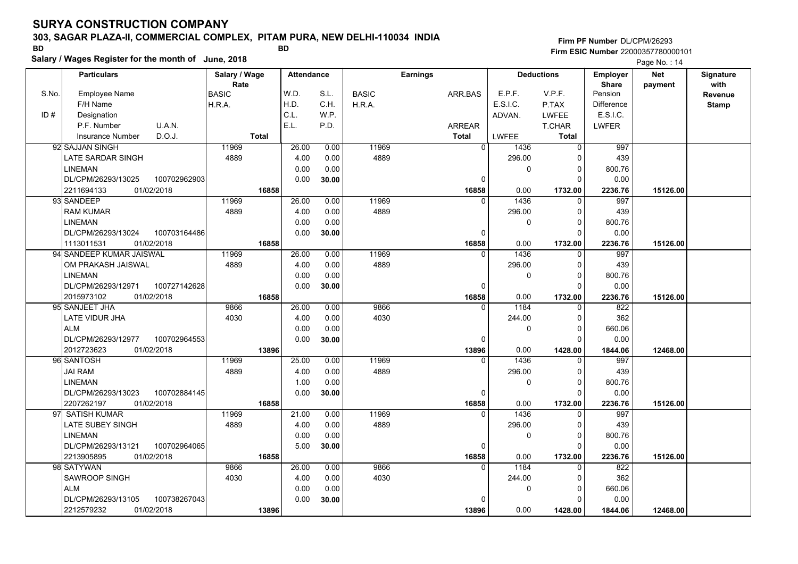### **303, SAGAR PLAZA-II, COMMERCIAL COMPLEX, PITAM PURA, NEW DELHI-110034 INDIA**

**Salary / Wages Register for the month of June, 2018 BD BD Firm PF Number**DL/CPM/26293**Firm ESIC Number** 22000357780000101

|       | <b>Particulars</b>                 |              | Salary / Wage |       | <b>Attendance</b> |              | <b>Earnings</b> |               | <b>Deductions</b> |               | <b>Employer</b> | <b>Net</b> | Signature    |
|-------|------------------------------------|--------------|---------------|-------|-------------------|--------------|-----------------|---------------|-------------------|---------------|-----------------|------------|--------------|
|       |                                    | Rate         |               |       |                   |              |                 |               | E.P.F.            |               | <b>Share</b>    | payment    | with         |
| S.No. | <b>Employee Name</b>               | <b>BASIC</b> |               | W.D.  | S.L.              | <b>BASIC</b> |                 | ARR.BAS       |                   | V.P.F.        | Pension         |            | Revenue      |
|       | F/H Name                           | H.R.A.       |               | H.D.  | C.H.              | H.R.A.       |                 |               | E.S.I.C.          | P.TAX         | Difference      |            | <b>Stamp</b> |
| ID#   | Designation                        |              |               | C.L.  | W.P.              |              |                 |               | ADVAN.            | <b>LWFEE</b>  | E.S.I.C.        |            |              |
|       | U.A.N.<br>P.F. Number              |              |               | E.L.  | P.D.              |              |                 | <b>ARREAR</b> |                   | <b>T.CHAR</b> | <b>LWFER</b>    |            |              |
|       | D.O.J.<br>Insurance Number         | <b>Total</b> |               |       |                   |              |                 | <b>Total</b>  | LWFEE             | <b>Total</b>  |                 |            |              |
|       | 92 SAJJAN SINGH                    | 11969        |               | 26.00 | 0.00              | 11969        |                 | $\Omega$      | 1436              | 0             | 997             |            |              |
|       | <b>LATE SARDAR SINGH</b>           | 4889         |               | 4.00  | 0.00              | 4889         |                 |               | 296.00            | $\Omega$      | 439             |            |              |
|       | <b>LINEMAN</b>                     |              |               | 0.00  | 0.00              |              |                 |               | 0                 | $\mathbf 0$   | 800.76          |            |              |
|       | 100702962903<br>DL/CPM/26293/13025 |              |               | 0.00  | 30.00             |              |                 | $\Omega$      |                   | $\Omega$      | 0.00            |            |              |
|       | 01/02/2018<br>2211694133           |              | 16858         |       |                   |              |                 | 16858         | 0.00              | 1732.00       | 2236.76         | 15126.00   |              |
|       | 93 SANDEEP                         | 11969        |               | 26.00 | 0.00              | 11969        |                 | $\Omega$      | 1436              | $\mathbf 0$   | 997             |            |              |
|       | <b>RAM KUMAR</b>                   | 4889         |               | 4.00  | 0.00              | 4889         |                 |               | 296.00            | $\mathbf 0$   | 439             |            |              |
|       | <b>LINEMAN</b>                     |              |               | 0.00  | 0.00              |              |                 |               | $\Omega$          | $\Omega$      | 800.76          |            |              |
|       | DL/CPM/26293/13024<br>100703164486 |              |               | 0.00  | 30.00             |              |                 | $\Omega$      |                   | $\Omega$      | 0.00            |            |              |
|       | 1113011531<br>01/02/2018           |              | 16858         |       |                   |              |                 | 16858         | 0.00              | 1732.00       | 2236.76         | 15126.00   |              |
|       | 94 SANDEEP KUMAR JAISWAL           | 11969        |               | 26.00 | 0.00              | 11969        |                 | $\Omega$      | 1436              | $\Omega$      | 997             |            |              |
|       | OM PRAKASH JAISWAL                 | 4889         |               | 4.00  | 0.00              | 4889         |                 |               | 296.00            | $\mathbf 0$   | 439             |            |              |
|       | <b>LINEMAN</b>                     |              |               | 0.00  | 0.00              |              |                 |               | 0                 | $\mathbf 0$   | 800.76          |            |              |
|       | DL/CPM/26293/12971<br>100727142628 |              |               | 0.00  | 30.00             |              |                 | $\Omega$      |                   | $\Omega$      | 0.00            |            |              |
|       | 2015973102<br>01/02/2018           |              | 16858         |       |                   |              |                 | 16858         | 0.00              | 1732.00       | 2236.76         | 15126.00   |              |
|       | 95 SANJEET JHA                     | 9866         |               | 26.00 | 0.00              | 9866         |                 | $\Omega$      | 1184              | 0             | 822             |            |              |
|       | LATE VIDUR JHA                     | 4030         |               | 4.00  | 0.00              | 4030         |                 |               | 244.00            | $\Omega$      | 362             |            |              |
|       | <b>ALM</b>                         |              |               | 0.00  | 0.00              |              |                 |               | 0                 | $\mathbf 0$   | 660.06          |            |              |
|       | DL/CPM/26293/12977<br>100702964553 |              |               | 0.00  | 30.00             |              |                 | 0             |                   | $\Omega$      | 0.00            |            |              |
|       | 2012723623<br>01/02/2018           |              | 13896         |       |                   |              |                 | 13896         | 0.00              | 1428.00       | 1844.06         | 12468.00   |              |
|       | 96 SANTOSH                         | 11969        |               | 25.00 | 0.00              | 11969        |                 | $\Omega$      | 1436              | $\Omega$      | 997             |            |              |
|       | <b>JAI RAM</b>                     | 4889         |               | 4.00  | 0.00              | 4889         |                 |               | 296.00            | $\mathbf 0$   | 439             |            |              |
|       | <b>LINEMAN</b>                     |              |               | 1.00  | 0.00              |              |                 |               | 0                 | $\mathbf 0$   | 800.76          |            |              |
|       | DL/CPM/26293/13023<br>100702884145 |              |               | 0.00  | 30.00             |              |                 | $\Omega$      |                   | $\Omega$      | 0.00            |            |              |
|       | 2207262197<br>01/02/2018           |              | 16858         |       |                   |              |                 | 16858         | 0.00              | 1732.00       | 2236.76         | 15126.00   |              |
|       | 97 SATISH KUMAR                    | 11969        |               | 21.00 | 0.00              | 11969        |                 | U             | 1436              | $\Omega$      | 997             |            |              |
|       | LATE SUBEY SINGH                   | 4889         |               | 4.00  | 0.00              | 4889         |                 |               | 296.00            | $\mathbf 0$   | 439             |            |              |
|       | <b>LINEMAN</b>                     |              |               | 0.00  | 0.00              |              |                 |               | 0                 | $\mathbf 0$   | 800.76          |            |              |
|       | DL/CPM/26293/13121<br>100702964065 |              |               | 5.00  | 30.00             |              |                 | $\Omega$      |                   | $\Omega$      | 0.00            |            |              |
|       | 2213905895<br>01/02/2018           |              | 16858         |       |                   |              |                 | 16858         | 0.00              | 1732.00       | 2236.76         | 15126.00   |              |
|       | 98 SATYWAN                         | 9866         |               | 26.00 | 0.00              | 9866         |                 | $\Omega$      | 1184              | 0             | 822             |            |              |
|       | <b>SAWROOP SINGH</b>               | 4030         |               | 4.00  | 0.00              | 4030         |                 |               | 244.00            | $\Omega$      | 362             |            |              |
|       | <b>ALM</b>                         |              |               | 0.00  | 0.00              |              |                 |               | 0                 | $\mathbf 0$   | 660.06          |            |              |
|       | DL/CPM/26293/13105<br>100738267043 |              |               | 0.00  | 30.00             |              |                 | $\Omega$      |                   | $\Omega$      | 0.00            |            |              |
|       | 2212579232<br>01/02/2018           |              | 13896         |       |                   |              |                 | 13896         | 0.00              | 1428.00       | 1844.06         | 12468.00   |              |
|       |                                    |              |               |       |                   |              |                 |               |                   |               |                 |            |              |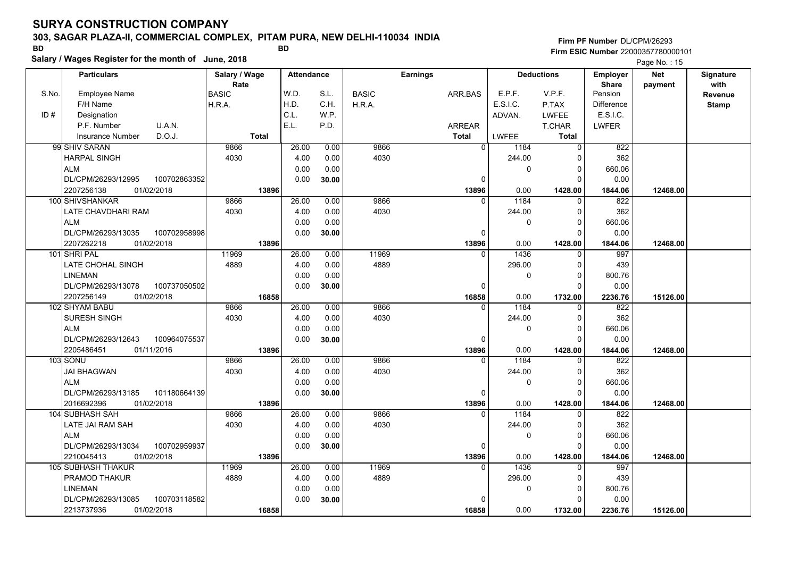### **303, SAGAR PLAZA-II, COMMERCIAL COMPLEX, PITAM PURA, NEW DELHI-110034 INDIA**

**Salary / Wages Register for the month of June, 2018 BD BD**

### **Firm PF Number**DL/CPM/26293**Firm ESIC Number** 22000357780000101

|       | <b>Particulars</b>                             |              | Salary / Wage |              | <b>Attendance</b> |              |              | <b>Earnings</b> |                   |                        | <b>Deductions</b>   | <b>Employer</b>         | Net      | Signature    |
|-------|------------------------------------------------|--------------|---------------|--------------|-------------------|--------------|--------------|-----------------|-------------------|------------------------|---------------------|-------------------------|----------|--------------|
| S.No. | <b>Employee Name</b>                           |              | Rate<br>BASIC |              | W.D.              | S.L.         | <b>BASIC</b> | ARR.BAS         |                   | E.P.F.                 | V.P.F.              | <b>Share</b><br>Pension | payment  | with         |
|       | F/H Name                                       |              | H.R.A.        |              | H.D.              | C.H.         | H.R.A.       |                 |                   | E.S.I.C.               | P.TAX               | Difference              |          | Revenue      |
| ID#   | Designation                                    |              |               |              | C.L.              | W.P.         |              |                 |                   | ADVAN.                 | <b>LWFEE</b>        | E.S.I.C.                |          | <b>Stamp</b> |
|       | P.F. Number<br>U.A.N.                          |              |               |              | E.L.              | P.D.         |              | <b>ARREAR</b>   |                   |                        | <b>T.CHAR</b>       | LWFER                   |          |              |
|       | D.O.J.<br><b>Insurance Number</b>              |              |               | <b>Total</b> |                   |              |              | <b>Total</b>    |                   | LWFEE                  | <b>Total</b>        |                         |          |              |
|       | 99 SHIV SARAN                                  |              | 9866          |              |                   |              | 9866         |                 | $\Omega$          |                        | $\Omega$            | 822                     |          |              |
|       |                                                |              |               |              | 26.00             | 0.00         |              |                 |                   | 1184                   |                     |                         |          |              |
|       | <b>HARPAL SINGH</b>                            |              | 4030          |              | 4.00              | 0.00         | 4030         |                 |                   | 244.00                 | 0                   | 362                     |          |              |
|       | <b>ALM</b><br>DL/CPM/26293/12995               |              |               |              | 0.00              | 0.00         |              |                 |                   | 0                      | 0<br>$\Omega$       | 660.06                  |          |              |
|       |                                                | 100702863352 |               |              | 0.00              | 30.00        |              |                 | 0                 |                        |                     | 0.00                    |          |              |
|       | 2207256138<br>01/02/2018                       |              |               | 13896        |                   |              |              |                 | 13896             | 0.00                   | 1428.00             | 1844.06                 | 12468.00 |              |
|       | 100 SHIVSHANKAR                                |              | 9866          |              | 26.00             | 0.00         | 9866         |                 | $\Omega$          | 1184                   | $\Omega$            | 822                     |          |              |
|       | LATE CHAVDHARI RAM                             |              | 4030          |              | 4.00              | 0.00         | 4030         |                 |                   | 244.00                 | $\Omega$            | 362                     |          |              |
|       | <b>ALM</b>                                     |              |               |              | 0.00              | 0.00         |              |                 |                   | $\mathbf{0}$           | $\mathbf 0$         | 660.06                  |          |              |
|       | DL/CPM/26293/13035                             | 100702958998 |               |              | 0.00              | 30.00        |              |                 | 0                 |                        | $\Omega$            | 0.00                    |          |              |
|       | 2207262218<br>01/02/2018                       |              |               | 13896        |                   |              |              |                 | 13896<br>$\Omega$ | 0.00                   | 1428.00             | 1844.06                 | 12468.00 |              |
|       | 101 SHRI PAL                                   |              | 11969         |              | 26.00             | 0.00         | 11969        |                 |                   | 1436                   | $\Omega$            | 997                     |          |              |
|       | <b>LATE CHOHAL SINGH</b>                       |              | 4889          |              | 4.00              | 0.00         | 4889         |                 |                   | 296.00                 | $\Omega$            | 439                     |          |              |
|       | <b>LINEMAN</b>                                 |              |               |              | 0.00              | 0.00         |              |                 |                   | $\mathbf{0}$           | $\Omega$            | 800.76                  |          |              |
|       | DL/CPM/26293/13078                             | 100737050502 |               |              | 0.00              | 30.00        |              |                 | $\Omega$          |                        | $\Omega$            | 0.00                    |          |              |
|       | 2207256149<br>01/02/2018                       |              |               | 16858        |                   |              | 9866         |                 | 16858             | 0.00                   | 1732.00             | 2236.76<br>822          | 15126.00 |              |
|       | 102 SHYAM BABU                                 |              | 9866          |              | 26.00             | 0.00         |              |                 | O                 | 1184                   | 0<br>$\Omega$       |                         |          |              |
|       | SURESH SINGH                                   |              | 4030          |              | 4.00              | 0.00         | 4030         |                 |                   | 244.00<br>$\Omega$     | $\Omega$            | 362                     |          |              |
|       | <b>ALM</b>                                     |              |               |              | 0.00              | 0.00         |              |                 |                   |                        |                     | 660.06                  |          |              |
|       | DL/CPM/26293/12643                             | 100964075537 |               |              | 0.00              | 30.00        |              |                 | $\Omega$          |                        | $\Omega$            | 0.00                    |          |              |
|       | 2205486451<br>01/11/2016<br>103 SONU           |              | 9866          | 13896        | 26.00             | 0.00         | 9866         |                 | 13896<br>$\Omega$ | 0.00<br>1184           | 1428.00<br>$\Omega$ | 1844.06<br>822          | 12468.00 |              |
|       |                                                |              |               |              |                   |              |              |                 |                   |                        | $\Omega$            | 362                     |          |              |
|       | <b>JAI BHAGWAN</b><br><b>ALM</b>               |              | 4030          |              | 4.00<br>0.00      | 0.00<br>0.00 | 4030         |                 |                   | 244.00<br>$\mathbf{0}$ | $\Omega$            | 660.06                  |          |              |
|       | DL/CPM/26293/13185                             | 101180664139 |               |              | 0.00              |              |              |                 | $\mathbf 0$       |                        | $\Omega$            | 0.00                    |          |              |
|       | 2016692396<br>01/02/2018                       |              |               | 13896        |                   | 30.00        |              |                 | 13896             | 0.00                   | 1428.00             | 1844.06                 | 12468.00 |              |
|       | 104 SUBHASH SAH                                |              | 9866          |              | 26.00             | 0.00         | 9866         |                 | $\Omega$          | 1184                   | $\Omega$            | 822                     |          |              |
|       | LATE JAI RAM SAH                               |              | 4030          |              | 4.00              | 0.00         | 4030         |                 |                   | 244.00                 | $\Omega$            | 362                     |          |              |
|       | <b>ALM</b>                                     |              |               |              | 0.00              | 0.00         |              |                 |                   |                        |                     | 660.06                  |          |              |
|       |                                                |              |               |              |                   |              |              |                 |                   | 0                      | 0<br>$\Omega$       |                         |          |              |
|       | DL/CPM/26293/13034<br>2210045413<br>01/02/2018 | 100702959937 |               |              | 0.00              | 30.00        |              |                 | $\Omega$          |                        |                     | 0.00                    |          |              |
|       | <b>105 SUBHASH THAKUR</b>                      |              | 11969         | 13896        | 26.00             | 0.00         | 11969        |                 | 13896<br>$\Omega$ | 0.00<br>1436           | 1428.00<br>$\Omega$ | 1844.06<br>997          | 12468.00 |              |
|       | PRAMOD THAKUR                                  |              | 4889          |              | 4.00              | 0.00         | 4889         |                 |                   | 296.00                 | $\Omega$            | 439                     |          |              |
|       |                                                |              |               |              |                   |              |              |                 |                   |                        |                     |                         |          |              |
|       | <b>LINEMAN</b>                                 |              |               |              | 0.00              | 0.00         |              |                 | $\Omega$          | 0                      | 0<br>$\Omega$       | 800.76                  |          |              |
|       | DL/CPM/26293/13085                             | 100703118582 |               |              | 0.00              | 30.00        |              |                 |                   |                        |                     | 0.00                    |          |              |
|       | 2213737936<br>01/02/2018                       |              |               | 16858        |                   |              |              |                 | 16858             | 0.00                   | 1732.00             | 2236.76                 | 15126.00 |              |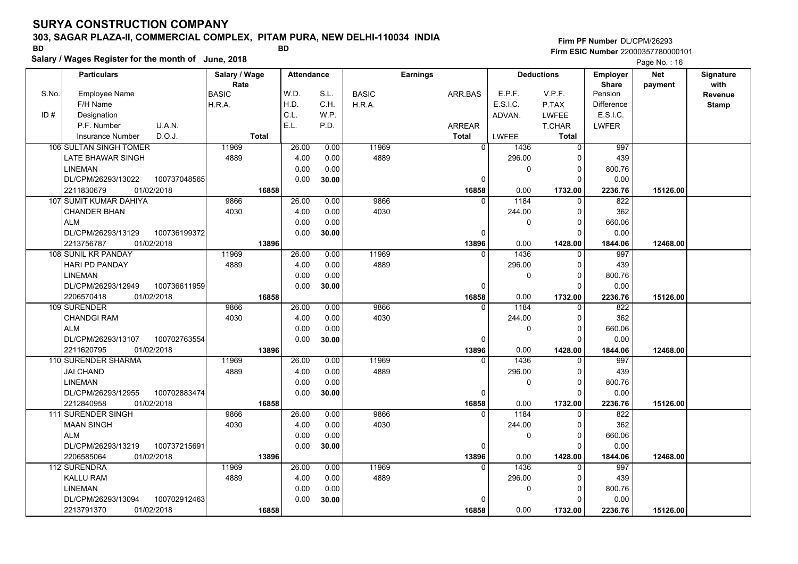### **303, SAGAR PLAZA-II, COMMERCIAL COMPLEX, PITAM PURA, NEW DELHI-110034 INDIA**

**Salary / Wages Register for the month of June, 2018 BD BD**

### **Firm PF Number**DL/CPM/26293**Firm ESIC Number** 22000357780000101

|       | <b>Particulars</b>         |              | Salary / Wage        |              | <b>Attendance</b> |       |              | <b>Earnings</b> |                |          | <b>Deductions</b> | <b>Employer</b>         | <b>Net</b> | Signature        |
|-------|----------------------------|--------------|----------------------|--------------|-------------------|-------|--------------|-----------------|----------------|----------|-------------------|-------------------------|------------|------------------|
| S.No. | <b>Employee Name</b>       |              | Rate<br><b>BASIC</b> |              | W.D.              | S.L.  | <b>BASIC</b> | ARR.BAS         |                | E.P.F.   | V.P.F.            | <b>Share</b><br>Pension | payment    | with             |
|       | F/H Name                   |              | H.R.A.               |              | H.D.              | C.H.  | H.R.A.       |                 |                | E.S.I.C. | P.TAX             | <b>Difference</b>       |            | Revenue<br>Stamp |
| ID#   | Designation                |              |                      |              | C.L.              | W.P.  |              |                 |                | ADVAN.   | LWFEE             | E.S.I.C.                |            |                  |
|       | U.A.N.<br>P.F. Number      |              |                      |              | E.L.              | P.D.  |              | <b>ARREAR</b>   |                |          | T.CHAR            | <b>LWFER</b>            |            |                  |
|       | D.O.J.<br>Insurance Number |              |                      | <b>Total</b> |                   |       |              | <b>Total</b>    |                | LWFEE    | Total             |                         |            |                  |
|       | 106 SULTAN SINGH TOMER     |              | 11969                |              | 26.00             | 0.00  | 11969        |                 | $\overline{0}$ | 1436     | $\Omega$          | 997                     |            |                  |
|       | LATE BHAWAR SINGH          |              | 4889                 |              | 4.00              | 0.00  | 4889         |                 |                | 296.00   | O                 | 439                     |            |                  |
|       | <b>LINEMAN</b>             |              |                      |              | 0.00              | 0.00  |              |                 |                | 0        | $\mathbf 0$       | 800.76                  |            |                  |
|       | DL/CPM/26293/13022         | 100737048565 |                      |              | 0.00              | 30.00 |              |                 | $\Omega$       |          | $\Omega$          | 0.00                    |            |                  |
|       | 2211830679<br>01/02/2018   |              |                      | 16858        |                   |       |              |                 | 16858          | 0.00     | 1732.00           | 2236.76                 | 15126.00   |                  |
|       | 107 SUMIT KUMAR DAHIYA     |              | 9866                 |              | 26.00             | 0.00  | 9866         |                 | $\Omega$       | 1184     | $\Omega$          | 822                     |            |                  |
|       | <b>CHANDER BHAN</b>        |              | 4030                 |              | 4.00              | 0.00  | 4030         |                 |                | 244.00   | $\Omega$          | 362                     |            |                  |
|       | <b>ALM</b>                 |              |                      |              | 0.00              | 0.00  |              |                 |                | 0        | $\mathbf 0$       | 660.06                  |            |                  |
|       | DL/CPM/26293/13129         | 100736199372 |                      |              | 0.00              | 30.00 |              |                 | $\Omega$       |          | $\Omega$          | 0.00                    |            |                  |
|       | 2213756787<br>01/02/2018   |              |                      | 13896        |                   |       |              |                 | 13896          | 0.00     | 1428.00           | 1844.06                 | 12468.00   |                  |
|       | 108 SUNIL KR PANDAY        |              | 11969                |              | 26.00             | 0.00  | 11969        |                 | $\Omega$       | 1436     | $\Omega$          | 997                     |            |                  |
|       | HARI PD PANDAY             |              | 4889                 |              | 4.00              | 0.00  | 4889         |                 |                | 296.00   | $\Omega$          | 439                     |            |                  |
|       | <b>LINEMAN</b>             |              |                      |              | 0.00              | 0.00  |              |                 |                | 0        | $\Omega$          | 800.76                  |            |                  |
|       | DL/CPM/26293/12949         | 100736611959 |                      |              | 0.00              | 30.00 |              |                 | 0              |          |                   | 0.00                    |            |                  |
|       | 01/02/2018<br>2206570418   |              |                      | 16858        |                   |       |              |                 | 16858          | 0.00     | 1732.00           | 2236.76                 | 15126.00   |                  |
|       | 109 SURENDER               |              | 9866                 |              | 26.00             | 0.00  | 9866         |                 | 0              | 1184     | $\Omega$          | 822                     |            |                  |
|       | <b>CHANDGI RAM</b>         |              | 4030                 |              | 4.00              | 0.00  | 4030         |                 |                | 244.00   | $\Omega$          | 362                     |            |                  |
|       | <b>ALM</b>                 |              |                      |              | 0.00              | 0.00  |              |                 |                | 0        | 0                 | 660.06                  |            |                  |
|       | DL/CPM/26293/13107         | 100702763554 |                      |              | 0.00              | 30.00 |              |                 | 0              |          | n                 | 0.00                    |            |                  |
|       | 2211620795<br>01/02/2018   |              |                      | 13896        |                   |       |              |                 | 13896          | 0.00     | 1428.00           | 1844.06                 | 12468.00   |                  |
|       | 110 SURENDER SHARMA        |              | 11969                |              | 26.00             | 0.00  | 11969        |                 | $\Omega$       | 1436     | ∩                 | 997                     |            |                  |
|       | <b>JAI CHAND</b>           |              | 4889                 |              | 4.00              | 0.00  | 4889         |                 |                | 296.00   | $\Omega$          | 439                     |            |                  |
|       | <b>LINEMAN</b>             |              |                      |              | 0.00              | 0.00  |              |                 |                | 0        | $\Omega$          | 800.76                  |            |                  |
|       | DL/CPM/26293/12955         | 100702883474 |                      |              | 0.00              | 30.00 |              |                 | 0              |          | $\Omega$          | 0.00                    |            |                  |
|       | 2212840958<br>01/02/2018   |              |                      | 16858        |                   |       |              |                 | 16858          | 0.00     | 1732.00           | 2236.76                 | 15126.00   |                  |
|       | 111 SURENDER SINGH         |              | 9866                 |              | 26.00             | 0.00  | 9866         |                 | $\Omega$       | 1184     | $\Omega$          | 822                     |            |                  |
|       | <b>MAAN SINGH</b>          |              | 4030                 |              | 4.00              | 0.00  | 4030         |                 |                | 244.00   | $\Omega$          | 362                     |            |                  |
|       | <b>ALM</b>                 |              |                      |              | 0.00              | 0.00  |              |                 |                | 0        | $\Omega$          | 660.06                  |            |                  |
|       | DL/CPM/26293/13219         | 100737215691 |                      |              | 0.00              | 30.00 |              |                 | 0              |          | C                 | 0.00                    |            |                  |
|       | 2206585064<br>01/02/2018   |              |                      | 13896        |                   |       |              |                 | 13896          | 0.00     | 1428.00           | 1844.06                 | 12468.00   |                  |
|       | 112 SURENDRA               |              | 11969                |              | 26.00             | 0.00  | 11969        |                 | $\Omega$       | 1436     | $\Omega$          | 997                     |            |                  |
|       | KALLU RAM                  |              | 4889                 |              | 4.00              | 0.00  | 4889         |                 |                | 296.00   | ŋ                 | 439                     |            |                  |
|       | <b>LINEMAN</b>             |              |                      |              | 0.00              | 0.00  |              |                 |                | 0        | 0                 | 800.76                  |            |                  |
|       | DL/CPM/26293/13094         | 100702912463 |                      |              | 0.00              | 30.00 |              |                 | $\Omega$       |          |                   | 0.00                    |            |                  |
|       | 01/02/2018<br>2213791370   |              |                      | 16858        |                   |       |              |                 | 16858          | 0.00     | 1732.00           | 2236.76                 | 15126.00   |                  |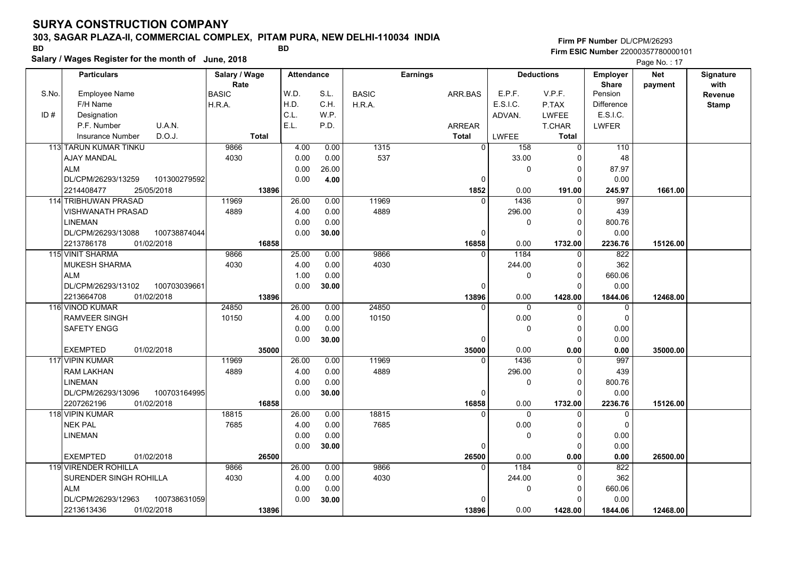### **303, SAGAR PLAZA-II, COMMERCIAL COMPLEX, PITAM PURA, NEW DELHI-110034 INDIA**

**Firm PF Number**DL/CPM/26293**Firm ESIC Number** 22000357780000101

**Salary / Wages Register for the month of June, 2018 BD BD**

|       | Salary / wages Register for the month of June, 2018 |                       |                   |       |              |                 |                    |                   | Page No.: 17                    |                       |                   |
|-------|-----------------------------------------------------|-----------------------|-------------------|-------|--------------|-----------------|--------------------|-------------------|---------------------------------|-----------------------|-------------------|
|       | <b>Particulars</b>                                  | Salary / Wage<br>Rate | <b>Attendance</b> |       |              | <b>Earnings</b> |                    | <b>Deductions</b> | <b>Employer</b><br><b>Share</b> | <b>Net</b><br>payment | Signature<br>with |
| S.No. | <b>Employee Name</b>                                | <b>BASIC</b>          | W.D.              | S.L.  | <b>BASIC</b> | ARR.BAS         | E.P.F.             | V.P.F.            | Pension                         |                       | Revenue           |
|       | F/H Name                                            | H.R.A.                | H.D.              | C.H.  | H.R.A.       |                 | E.S.I.C.           | P.TAX             | <b>Difference</b>               |                       | <b>Stamp</b>      |
| ID#   | Designation                                         |                       | C.L.              | W.P.  |              |                 | ADVAN.             | LWFEE             | E.S.I.C.                        |                       |                   |
|       | P.F. Number<br>U.A.N.                               |                       | E.L.              | P.D.  |              | <b>ARREAR</b>   |                    | <b>T.CHAR</b>     | <b>LWFER</b>                    |                       |                   |
|       | D.O.J.<br>Insurance Number                          | <b>Total</b>          |                   |       |              | <b>Total</b>    | LWFEE              | <b>Total</b>      |                                 |                       |                   |
|       | 113 TARUN KUMAR TINKU                               | 9866                  | 4.00              | 0.00  | 1315         |                 | $\mathbf 0$<br>158 | $\overline{0}$    | 110                             |                       |                   |
|       | <b>AJAY MANDAL</b>                                  | 4030                  | 0.00              | 0.00  | 537          |                 | 33.00              | ∩                 | 48                              |                       |                   |
|       | <b>ALM</b>                                          |                       | 0.00              | 26.00 |              |                 | $\mathbf 0$        | 0                 | 87.97                           |                       |                   |
|       | DL/CPM/26293/13259<br>101300279592                  |                       | 0.00              | 4.00  |              | $\mathbf 0$     |                    | $\Omega$          | 0.00                            |                       |                   |
|       | 25/05/2018<br>2214408477                            | 13896                 |                   |       |              | 1852            | 0.00               | 191.00            | 245.97                          | 1661.00               |                   |
|       | 114 TRIBHUWAN PRASAD                                | 11969                 | 26.00             | 0.00  | 11969        |                 | 1436<br>$\Omega$   | $\Omega$          | 997                             |                       |                   |
|       | <b>VISHWANATH PRASAD</b>                            | 4889                  | 4.00              | 0.00  | 4889         |                 | 296.00             | $\Omega$          | 439                             |                       |                   |
|       | <b>LINEMAN</b>                                      |                       | 0.00              | 0.00  |              |                 | $\Omega$           | $\Omega$          | 800.76                          |                       |                   |
|       | DL/CPM/26293/13088<br>100738874044                  |                       | 0.00              | 30.00 |              | 0               |                    | $\Omega$          | 0.00                            |                       |                   |
|       | 2213786178<br>01/02/2018                            | 16858                 |                   |       |              | 16858           | 0.00               | 1732.00           | 2236.76                         | 15126.00              |                   |
|       | 115 VINIT SHARMA                                    | 9866                  | 25.00             | 0.00  | 9866         | $\mathbf{0}$    | 1184               | $\Omega$          | 822                             |                       |                   |
|       | <b>MUKESH SHARMA</b>                                | 4030                  | 4.00              | 0.00  | 4030         |                 | 244.00             | $\Omega$          | 362                             |                       |                   |
|       | <b>ALM</b>                                          |                       | 1.00              | 0.00  |              |                 | 0                  | $\Omega$          | 660.06                          |                       |                   |
|       | 100703039661<br>DL/CPM/26293/13102                  |                       | 0.00              | 30.00 |              | 0               |                    | $\Omega$          | 0.00                            |                       |                   |
|       | 2213664708<br>01/02/2018                            | 13896                 |                   |       |              | 13896           | 0.00               | 1428.00           | 1844.06                         | 12468.00              |                   |
|       | 116 VINOD KUMAR                                     | 24850                 | 26.00             | 0.00  | 24850        | $\Omega$        | $\Omega$           | $\Omega$          | 0                               |                       |                   |
|       | <b>RAMVEER SINGH</b>                                | 10150                 | 4.00              | 0.00  | 10150        |                 | 0.00               | O                 | $\mathbf 0$                     |                       |                   |
|       | <b>SAFETY ENGG</b>                                  |                       | 0.00              | 0.00  |              |                 | 0                  | $\Omega$          | 0.00                            |                       |                   |
|       |                                                     |                       | 0.00              | 30.00 |              | 0               |                    | $\Omega$          | 0.00                            |                       |                   |
|       | <b>EXEMPTED</b><br>01/02/2018                       | 35000                 |                   |       |              | 35000           | 0.00               | 0.00              | 0.00                            | 35000.00              |                   |
|       | 117 VIPIN KUMAR                                     | 11969                 | 26.00             | 0.00  | 11969        | 0               | 1436               | 0                 | 997                             |                       |                   |
|       | <b>RAM LAKHAN</b>                                   | 4889                  | 4.00              | 0.00  | 4889         |                 | 296.00             | $\Omega$          | 439                             |                       |                   |
|       | <b>LINEMAN</b>                                      |                       | 0.00              | 0.00  |              |                 | $\Omega$           | $\Omega$          | 800.76                          |                       |                   |
|       | DL/CPM/26293/13096<br>100703164995                  |                       | 0.00              | 30.00 |              | $\Omega$        |                    | $\Omega$          | 0.00                            |                       |                   |
|       | 2207262196<br>01/02/2018                            | 16858                 |                   |       |              | 16858           | 0.00               | 1732.00           | 2236.76                         | 15126.00              |                   |
|       | 118 VIPIN KUMAR                                     | 18815                 | 26.00             | 0.00  | 18815        | $\Omega$        | $\Omega$           | $\Omega$          | 0                               |                       |                   |
|       | <b>NEK PAL</b>                                      | 7685                  | 4.00              | 0.00  | 7685         |                 | 0.00               | $\Omega$          | $\mathbf 0$                     |                       |                   |
|       | <b>LINEMAN</b>                                      |                       | 0.00              | 0.00  |              |                 | $\mathbf 0$        | 0                 | 0.00                            |                       |                   |
|       |                                                     |                       | 0.00              | 30.00 |              | 0               |                    | $\Omega$          | 0.00                            |                       |                   |
|       | 01/02/2018<br><b>EXEMPTED</b>                       | 26500                 |                   |       |              | 26500           | 0.00               | 0.00              | 0.00                            | 26500.00              |                   |
|       | 119 VIRENDER ROHILLA                                | 9866                  | 26.00             | 0.00  | 9866         | $\Omega$        | 1184               | 0                 | 822                             |                       |                   |
|       | SURENDER SINGH ROHILLA                              | 4030                  | 4.00              | 0.00  | 4030         |                 | 244.00             | $\Omega$          | 362                             |                       |                   |
|       | <b>ALM</b>                                          |                       | 0.00              | 0.00  |              |                 | 0                  | 0                 | 660.06                          |                       |                   |
|       | 100738631059<br>DL/CPM/26293/12963                  |                       | 0.00              | 30.00 |              | $\Omega$        |                    | $\Omega$          | 0.00                            |                       |                   |
|       | 2213613436<br>01/02/2018                            | 13896                 |                   |       |              | 13896           | 0.00               | 1428.00           | 1844.06                         | 12468.00              |                   |